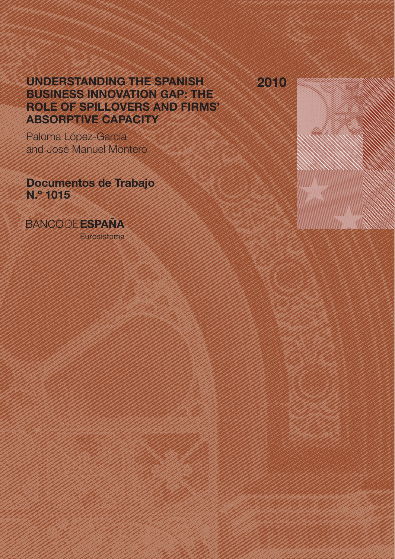UNDERSTANDING THE SPANISH BUSINESS INNOVATION GAP: THE ROLE OF SPILLOVERS AND FIRMS' ABSORPTIVE CAPACITY

Paloma López-García and José Manuel Montero

Documentos de Trabajo N.º 1015

**BANCODEESPAÑA** 

Eurosistema

2010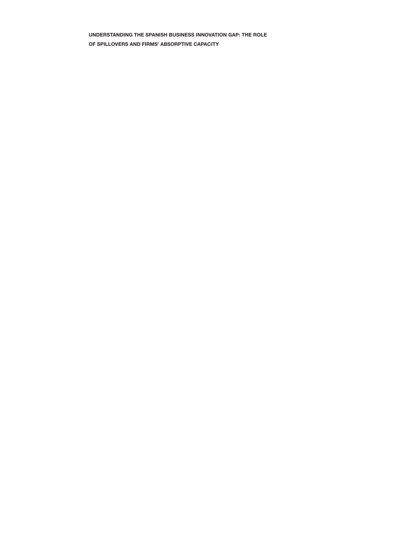UNDERSTANDING THE SPANISH BUSINESS INNOVATION GAP: THE ROLE OF SPILLOVERS AND FIRMS' ABSORPTIVE CAPACITY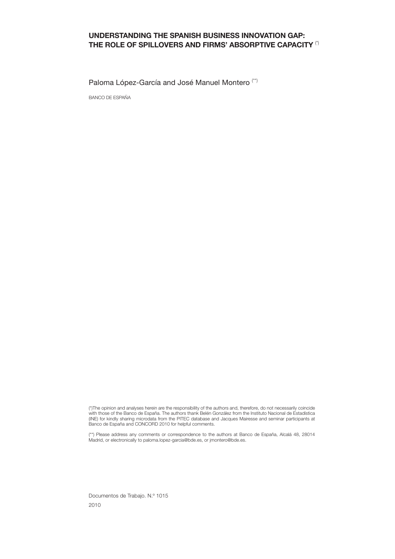# UNDERSTANDING THE SPANISH BUSINESS INNOVATION GAP: THE ROLE OF SPILLOVERS AND FIRMS' ABSORPTIVE CAPACITY (\*)

Paloma López-García and José Manuel Montero<sup>(\*\*)</sup>

BANCO DE ESPAÑA

(\*)The opinion and analyses herein are the responsibility of the authors and, therefore, do not necessarily coincide with those of the Banco de España. The authors thank Belén González from the Instituto Nacional de Estadística (INE) for kindly sharing microdata from the PITEC database and Jacques Mairesse and seminar participants at Banco de España and CONCORD 2010 for helpful comments.

(\*\*) Please address any comments or correspondence to the authors at Banco de España, Alcalá 48, 28014 Madrid, or electronically to paloma.lopez-garcia@bde.es, or jmontero@bde.es.

Documentos de Trabajo. N.º 1015 2010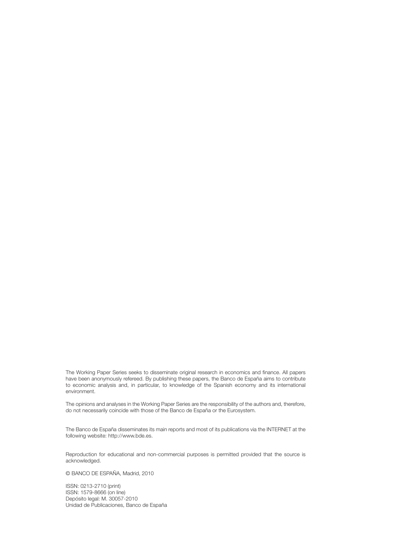The Working Paper Series seeks to disseminate original research in economics and finance. All papers have been anonymously refereed. By publishing these papers, the Banco de España aims to contribute to economic analysis and, in particular, to knowledge of the Spanish economy and its international environment.

The opinions and analyses in the Working Paper Series are the responsibility of the authors and, therefore, do not necessarily coincide with those of the Banco de España or the Eurosystem.

The Banco de España disseminates its main reports and most of its publications via the INTERNET at the following website: http://www.bde.es.

Reproduction for educational and non-commercial purposes is permitted provided that the source is acknowledged.

© BANCO DE ESPAÑA, Madrid, 2010

ISSN: 0213-2710 (print) ISSN: 1579-8666 (on line) Depósito legal: M. 30057-2010 Unidad de Publicaciones, Banco de España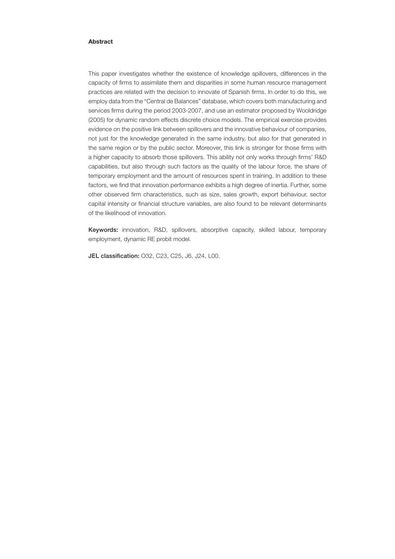### Abstract

This paper investigates whether the existence of knowledge spillovers, differences in the capacity of firms to assimilate them and disparities in some human resource management practices are related with the decision to innovate of Spanish firms. In order to do this, we employ data from the "Central de Balances" database, which covers both manufacturing and services firms during the period 2003-2007, and use an estimator proposed by Wooldridge (2005) for dynamic random effects discrete choice models. The empirical exercise provides evidence on the positive link between spillovers and the innovative behaviour of companies, not just for the knowledge generated in the same industry, but also for that generated in the same region or by the public sector. Moreover, this link is stronger for those firms with a higher capacity to absorb those spillovers. This ability not only works through firms' R&D capabilities, but also through such factors as the quality of the labour force, the share of temporary employment and the amount of resources spent in training. In addition to these factors, we find that innovation performance exhibits a high degree of inertia. Further, some other observed firm characteristics, such as size, sales growth, export behaviour, sector capital intensity or financial structure variables, are also found to be relevant determinants of the likelihood of innovation.

Keywords: innovation, R&D, spillovers, absorptive capacity, skilled labour, temporary employment, dynamic RE probit model.

JEL classification: O32, C23, C25, J6, J24, L00.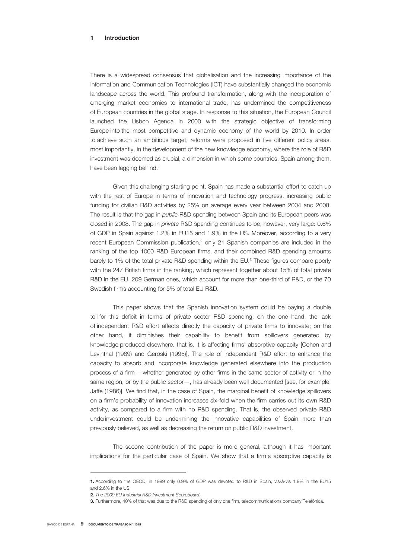### **1 Introduction**

There is a widespread consensus that globalisation and the increasing importance of the Information and Communication Technologies (ICT) have substantially changed the economic landscape across the world. This profound transformation, along with the incorporation of emerging market economies to international trade, has undermined the competitiveness of European countries in the global stage. In response to this situation, the European Council launched the Lisbon Agenda in 2000 with the strategic objective of transforming Europe into the most competitive and dynamic economy of the world by 2010. In order to achieve such an ambitious target, reforms were proposed in five different policy areas, most importantly, in the development of the new knowledge economy, where the role of R&D investment was deemed as crucial, a dimension in which some countries, Spain among them, have been lagging behind.<sup>1</sup>

Given this challenging starting point, Spain has made a substantial effort to catch up with the rest of Europe in terms of innovation and technology progress, increasing public funding for civilian R&D activities by 25% on average every year between 2004 and 2008. The result is that the gap in *public* R&D spending between Spain and its European peers was closed in 2008. The gap in *private* R&D spending continues to be, however, very large: 0.6% of GDP in Spain against 1.2% in EU15 and 1.9% in the US. Moreover, according to a very recent European Commission publication,<sup>2</sup> only 21 Spanish companies are included in the ranking of the top 1000 R&D European firms, and their combined R&D spending amounts barely to 1% of the total private R&D spending within the EU.3 These figures compare poorly with the 247 British firms in the ranking, which represent together about 15% of total private R&D in the EU, 209 German ones, which account for more than one-third of R&D, or the 70 Swedish firms accounting for 5% of total EU R&D.

This paper shows that the Spanish innovation system could be paying a double toll for this deficit in terms of private sector R&D spending: on the one hand, the lack of independent R&D effort affects directly the capacity of private firms to innovate; on the other hand, it diminishes their capability to benefit from spillovers generated by knowledge produced elsewhere, that is, it is affecting firms' absorptive capacity [Cohen and Levinthal (1989) and Geroski (1995)]. The role of independent R&D effort to enhance the capacity to absorb and incorporate knowledge generated elsewhere into the production process of a firm —whether generated by other firms in the same sector of activity or in the same region, or by the public sector—, has already been well documented [see, for example, Jaffe (1986)]. We find that, in the case of Spain, the marginal benefit of knowledge spillovers on a firm's probability of innovation increases six-fold when the firm carries out its own R&D activity, as compared to a firm with no R&D spending. That is, the observed private R&D underinvestment could be undermining the innovative capabilities of Spain more than previously believed, as well as decreasing the return on public R&D investment.

The second contribution of the paper is more general, although it has important implications for the particular case of Spain. We show that a firm's absorptive capacity is

**<sup>1</sup>.** According to the OECD, in 1999 only 0.9% of GDP was devoted to R&D in Spain, vis-à-vis 1.9% in the EU15 and 2.6% in the US.

**<sup>2</sup>.** *The 2009 EU Industrial R&D Investment Scoreboard.*

**<sup>3</sup>.** Furthermore, 40% of that was due to the R&D spending of only one firm, telecommunications company Telefónica.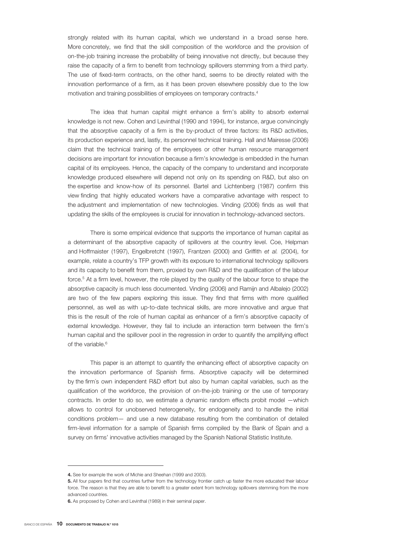strongly related with its human capital, which we understand in a broad sense here. More concretely, we find that the skill composition of the workforce and the provision of on-the-job training increase the probability of being innovative not directly, but because they raise the capacity of a firm to benefit from technology spillovers stemming from a third party. The use of fixed-term contracts, on the other hand, seems to be directly related with the innovation performance of a firm, as it has been proven elsewhere possibly due to the low motivation and training possibilities of employees on temporary contracts.4

The idea that human capital might enhance a firm's ability to absorb external knowledge is not new. Cohen and Levinthal (1990 and 1994), for instance, argue convincingly that the absorptive capacity of a firm is the by-product of three factors: its R&D activities, its production experience and, lastly, its personnel technical training. Hall and Mairesse (2006) claim that the technical training of the employees or other human resource management decisions are important for innovation because a firm's knowledge is embedded in the human capital of its employees. Hence, the capacity of the company to understand and incorporate knowledge produced elsewhere will depend not only on its spending on R&D, but also on the expertise and know-how of its personnel. Bartel and Lichtenberg (1987) confirm this view finding that highly educated workers have a comparative advantage with respect to the adjustment and implementation of new technologies. Vinding (2006) finds as well that updating the skills of the employees is crucial for innovation in technology-advanced sectors.

There is some empirical evidence that supports the importance of human capital as a determinant of the absorptive capacity of spillovers at the country level. Coe, Helpman and Hoffmaister (1997), Engelbretcht (1997), Frantzen (2000) and Griffith *et al.* (2004), for example, relate a country's TFP growth with its exposure to international technology spillovers and its capacity to benefit from them, proxied by own R&D and the qualification of the labour force.5 At a firm level, however, the role played by the quality of the labour force to shape the absorptive capacity is much less documented. Vinding (2006) and Ramijn and Albalejo (2002) are two of the few papers exploring this issue. They find that firms with more qualified personnel, as well as with up-to-date technical skills, are more innovative and argue that this is the result of the role of human capital as enhancer of a firm's absorptive capacity of external knowledge. However, they fail to include an interaction term between the firm's human capital and the spillover pool in the regression in order to quantify the amplifying effect of the variable.<sup>6</sup>

This paper is an attempt to quantify the enhancing effect of absorptive capacity on the innovation performance of Spanish firms. Absorptive capacity will be determined by the firm´s own independent R&D effort but also by human capital variables, such as the qualification of the workforce, the provision of on-the-job training or the use of temporary contracts. In order to do so, we estimate a dynamic random effects probit model —which allows to control for unobserved heterogeneity, for endogeneity and to handle the initial conditions problem— and use a new database resulting from the combination of detailed firm-level information for a sample of Spanish firms compiled by the Bank of Spain and a survey on firms' innovative activities managed by the Spanish National Statistic Institute.

j

**<sup>4</sup>.** See for example the work of Michie and Sheehan (1999 and 2003).

**<sup>5</sup>.** All four papers find that countries further from the technology frontier catch up faster the more educated their labour force. The reason is that they are able to benefit to a greater extent from technology spillovers stemming from the more advanced countries.

**<sup>6</sup>.** As proposed by Cohen and Levinthal (1989) in their seminal paper.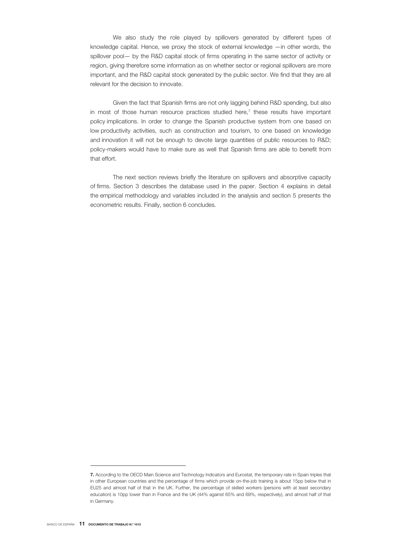We also study the role played by spillovers generated by different types of knowledge capital. Hence, we proxy the stock of external knowledge —in other words, the spillover pool— by the R&D capital stock of firms operating in the same sector of activity or region, giving therefore some information as on whether sector or regional spillovers are more important, and the R&D capital stock generated by the public sector. We find that they are all relevant for the decision to innovate.

Given the fact that Spanish firms are not only lagging behind R&D spending, but also in most of those human resource practices studied here, $<sup>7</sup>$  these results have important</sup> policy implications. In order to change the Spanish productive system from one based on low productivity activities, such as construction and tourism, to one based on knowledge and innovation it will not be enough to devote large quantities of public resources to R&D; policy-makers would have to make sure as well that Spanish firms are able to benefit from that effort.

The next section reviews briefly the literature on spillovers and absorptive capacity of firms. Section 3 describes the database used in the paper. Section 4 explains in detail the empirical methodology and variables included in the analysis and section 5 presents the econometric results. Finally, section 6 concludes.

**<sup>7</sup>.** According to the OECD Main Science and Technology Indicators and Eurostat, the temporary rate in Spain triples that in other European countries and the percentage of firms which provide on-the-job training is about 15pp below that in EU25 and almost half of that in the UK. Further, the percentage of skilled workers (persons with at least secondary education) is 10pp lower than in France and the UK (44% against 65% and 69%, respectively), and almost half of that in Germany.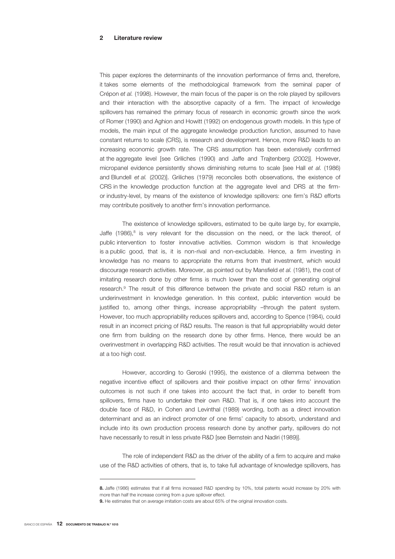### **2 Literature review**

This paper explores the determinants of the innovation performance of firms and, therefore, it takes some elements of the methodological framework from the seminal paper of Crépon *et al.* (1998). However, the main focus of the paper is on the role played by spillovers and their interaction with the absorptive capacity of a firm. The impact of knowledge spillovers has remained the primary focus of research in economic growth since the work of Romer (1990) and Aghion and Howitt (1992) on endogenous growth models. In this type of models, the main input of the aggregate knowledge production function, assumed to have constant returns to scale (CRS), is research and development. Hence, more R&D leads to an increasing economic growth rate. The CRS assumption has been extensively confirmed at the aggregate level [see Griliches (1990) and Jaffe and Trajtenberg (2002)]. However, micropanel evidence persistently shows diminishing returns to scale [see Hall *et al.* (1986) and Blundell *et al.* (2002)]. Griliches (1979) reconciles both observations, the existence of CRS in the knowledge production function at the aggregate level and DRS at the firmor industry-level, by means of the existence of knowledge spillovers: one firm's R&D efforts may contribute positively to another firm's innovation performance.

The existence of knowledge spillovers, estimated to be quite large by, for example, Jaffe  $(1986)^8$  is very relevant for the discussion on the need, or the lack thereof, of public intervention to foster innovative activities. Common wisdom is that knowledge is a public good, that is, it is non-rival and non-excludable. Hence, a firm investing in knowledge has no means to appropriate the returns from that investment, which would discourage research activities. Moreover, as pointed out by Mansfield *et al.* (1981), the cost of imitating research done by other firms is much lower than the cost of generating original research.9 The result of this difference between the private and social R&D return is an underinvestment in knowledge generation. In this context, public intervention would be justified to, among other things, increase appropriability –through the patent system. However, too much appropriability reduces spillovers and, according to Spence (1984), could result in an incorrect pricing of R&D results. The reason is that full appropriability would deter one firm from building on the research done by other firms. Hence, there would be an overinvestment in overlapping R&D activities. The result would be that innovation is achieved at a too high cost.

However, according to Geroski (1995), the existence of a dilemma between the negative incentive effect of spillovers and their positive impact on other firms' innovation outcomes is not such if one takes into account the fact that, in order to benefit from spillovers, firms have to undertake their own R&D. That is, if one takes into account the double face of R&D, in Cohen and Levinthal (1989) wording, both as a direct innovation determinant and as an indirect promoter of one firms' capacity to absorb, understand and include into its own production process research done by another party, spillovers do not have necessarily to result in less private R&D [see Bernstein and Nadiri (1989)].

The role of independent R&D as the driver of the ability of a firm to acquire and make use of the R&D activities of others, that is, to take full advantage of knowledge spillovers, has

**<sup>8</sup>.** Jaffe (1986) estimates that if all firms increased R&D spending by 10%, total patents would increase by 20% with more than half the increase coming from a pure spillover effect.

**<sup>9.</sup>** He estimates that on average imitation costs are about 65% of the original innovation costs.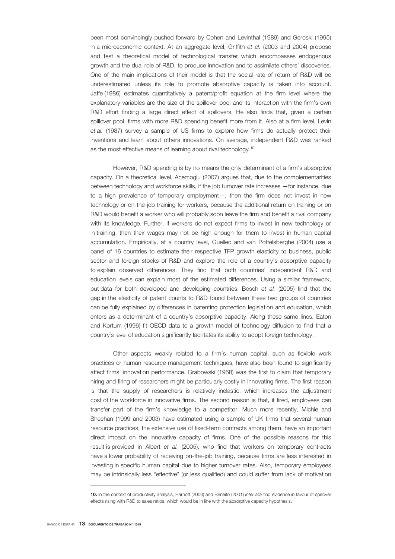been most convincingly pushed forward by Cohen and Levinthal (1989) and Geroski (1995) in a microeconomic context. At an aggregate level, Griffith *et al.* (2003 and 2004) propose and test a theoretical model of technological transfer which encompasses endogenous growth and the dual role of R&D, to produce innovation and to assimilate others' discoveries. One of the main implications of their model is that the social rate of return of R&D will be underestimated unless its role to promote absorptive capacity is taken into account. Jaffe (1986) estimates quantitatively a patent/profit equation at the firm level where the explanatory variables are the size of the spillover pool and its interaction with the firm's own R&D effort finding a large direct effect of spillovers. He also finds that, given a certain spillover pool, firms with more R&D spending benefit more from it. Also at a firm level, Levin *et al.* (1987) survey a sample of US firms to explore how firms do actually protect their inventions and learn about others innovations. On average, independent R&D was ranked as the most effective means of learning about rival technology.<sup>10</sup>

However, R&D spending is by no means the only determinant of a firm's absorptive capacity. On a theoretical level, Acemoglu (2007) argues that, due to the complementarities between technology and workforce skills, if the job turnover rate increases —for instance, due to a high prevalence of temporary employment—, then the firm does not invest in new technology or on-the-job training for workers, because the additional return on training or on R&D would benefit a worker who will probably soon leave the firm and benefit a rival company with its knowledge. Further, if workers do not expect firms to invest in new technology or in training, then their wages may not be high enough for them to invest in human capital accumulation. Empirically, at a country level, Guellec and van Pottelsberghe (2004) use a panel of 16 countries to estimate their respective TFP growth elasticity to business, public sector and foreign stocks of R&D and explore the role of a country's absorptive capacity to explain observed differences. They find that both countries' independent R&D and education levels can explain most of the estimated differences. Using a similar framework, but data for both developed and developing countries, Bosch *et al.* (2005) find that the gap in the elasticity of patent counts to R&D found between these two groups of countries can be fully explained by differences in patenting protection legislation and education, which enters as a determinant of a country's absorptive capacity. Along these same lines, Eaton and Kortum (1996) fit OECD data to a growth model of technology diffusion to find that a country´s level of education significantly facilitates its ability to adopt foreign technology.

Other aspects weakly related to a firm's human capital, such as flexible work practices or human resource management techniques, have also been found to significantly affect firms' innovation performance. Grabowski (1968) was the first to claim that temporary hiring and firing of researchers might be particularly costly in innovating firms. The first reason is that the supply of researchers is relatively inelastic, which increases the adjustment cost of the workforce in innovative firms. The second reason is that, if fired, employees can transfer part of the firm's knowledge to a competitor. Much more recently, Michie and Sheehan (1999 and 2003) have estimated using a sample of UK firms that several human resource practices, the extensive use of fixed-term contracts among them, have an important direct impact on the innovative capacity of firms. One of the possible reasons for this result is provided in Albert *et al.* (2005), who find that workers on temporary contracts have a lower probability of receiving on-the-job training, because firms are less interested in investing in specific human capital due to higher turnover rates. Also, temporary employees may be intrinsically less "effective" (or less qualified) and could suffer from lack of motivation

1

**<sup>10</sup>.** In the context of productivity analysis, Harhoff (2000) and Beneito (2001) *inter alia* find evidence in favour of spillover effects rising with R&D to sales ratios, which would be in line with the absorptive capacity hypothesis.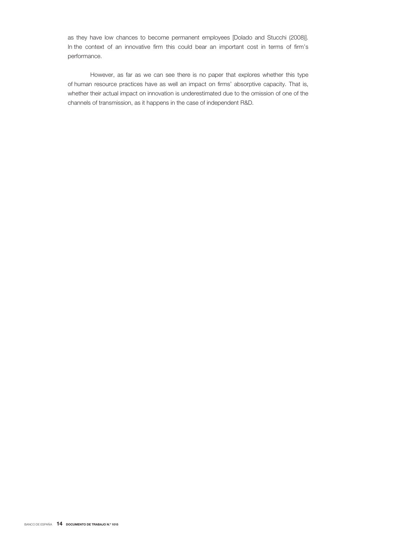as they have low chances to become permanent employees [Dolado and Stucchi (2008)]. In the context of an innovative firm this could bear an important cost in terms of firm's performance.

However, as far as we can see there is no paper that explores whether this type of human resource practices have as well an impact on firms' absorptive capacity. That is, whether their actual impact on innovation is underestimated due to the omission of one of the channels of transmission, as it happens in the case of independent R&D.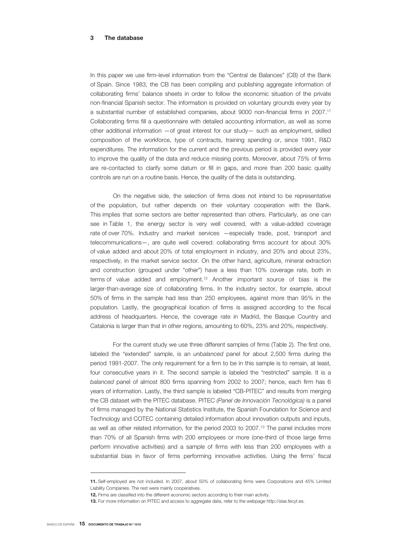### **3 The database**

In this paper we use firm-level information from the "Central de Balances" (CB) of the Bank of Spain. Since 1983, the CB has been compiling and publishing aggregate information of collaborating firms' balance sheets in order to follow the economic situation of the private non-financial Spanish sector. The information is provided on voluntary grounds every year by a substantial number of established companies, about 9000 non-financial firms in 2007.11 Collaborating firms fill a questionnaire with detailed accounting information, as well as some other additional information —of great interest for our study— such as employment, skilled composition of the workforce, type of contracts, training spending or, since 1991, R&D expenditures. The information for the current and the previous period is provided every year to improve the quality of the data and reduce missing points. Moreover, about 75% of firms are re-contacted to clarify some datum or fill in gaps, and more than 200 basic quality controls are run on a routine basis. Hence, the quality of the data is outstanding.

On the negative side, the selection of firms does not intend to be representative of the population, but rather depends on their voluntary cooperation with the Bank. This implies that some sectors are better represented than others. Particularly, as one can see in Table 1, the energy sector is very well covered, with a value-added coverage rate of over 70%. Industry and market services —especially trade, post, transport and telecommunications—, are quite well covered: collaborating firms account for about 30% of value added and about 20% of total employment in industry, and 20% and about 23%, respectively, in the market service sector. On the other hand, agriculture, mineral extraction and construction (grouped under "other") have a less than 10% coverage rate, both in terms of value added and employment.12 Another important source of bias is the larger-than-average size of collaborating firms. In the industry sector, for example, about 50% of firms in the sample had less than 250 employees, against more than 95% in the population. Lastly, the geographical location of firms is assigned according to the fiscal address of headquarters. Hence, the coverage rate in Madrid, the Basque Country and Catalonia is larger than that in other regions, amounting to 60%, 23% and 20%, respectively.

For the current study we use three different samples of firms (Table 2). The first one, labeled the "extended" sample, is an *unbalanced* panel for about 2,500 firms during the period 1991-2007. The only requirement for a firm to be in this sample is to remain, at least, four consecutive years in it. The second sample is labeled the "restricted" sample. It is a *balanced* panel of almost 800 firms spanning from 2002 to 2007; hence, each firm has 6 years of information. Lastly, the third sample is labeled "CB-PITEC" and results from merging the CB dataset with the PITEC database. PITEC *(Panel de Innovación Tecnológica)* is a panel of firms managed by the National Statistics Institute, the Spanish Foundation for Science and Technology and COTEC containing detailed information about innovation outputs and inputs, as well as other related information, for the period 2003 to 2007.13 The panel includes more than 70% of all Spanish firms with 200 employees or more (one-third of those large firms perform innovative activities) and a sample of firms with less than 200 employees with a substantial bias in favor of firms performing innovative activities. Using the firms' fiscal

**<sup>11</sup>.** Self-employed are not included. In 2007, about 50% of collaborating firms were Corporations and 45% Limited Liability Companies. The rest were mainly cooperatives.

**<sup>12</sup>.** Firms are classified into the different economic sectors according to their main activity.

**<sup>13</sup>.** For more information on PITEC and access to aggregate data, refer to the webpage http://sise.fecyt.es.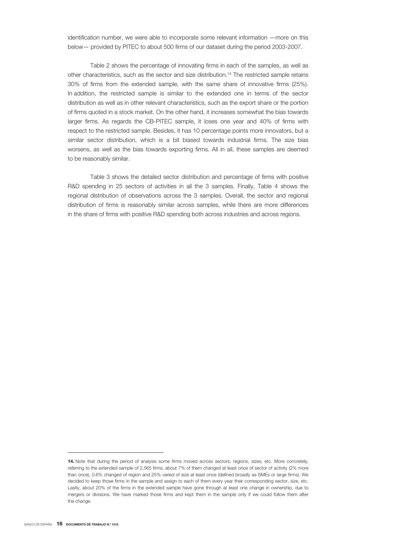identification number, we were able to incorporate some relevant information —more on this below— provided by PITEC to about 500 firms of our dataset during the period 2003-2007.

Table 2 shows the percentage of innovating firms in each of the samples, as well as other characteristics, such as the sector and size distribution.14 The restricted sample retains 30% of firms from the extended sample, with the same share of innovative firms (25%). In addition, the restricted sample is similar to the extended one in terms of the sector distribution as well as in other relevant characteristics, such as the export share or the portion of firms quoted in a stock market. On the other hand, it increases somewhat the bias towards larger firms. As regards the CB-PITEC sample, it loses one year and 40% of firms with respect to the restricted sample. Besides, it has 10 percentage points more innovators, but a similar sector distribution, which is a bit biased towards industrial firms. The size bias worsens, as well as the bias towards exporting firms. All in all, these samples are deemed to be reasonably similar.

Table 3 shows the detailed sector distribution and percentage of firms with positive R&D spending in 25 sectors of activities in all the 3 samples. Finally, Table 4 shows the regional distribution of observations across the 3 samples. Overall, the sector and regional distribution of firms is reasonably similar across samples, while there are more differences in the share of firms with positive R&D spending both across industries and across regions.

I

**<sup>14</sup>.** Note that during the period of analysis some firms moved across sectors, regions, sizes, etc. More concretely, referring to the extended sample of 2,565 firms, about 7% of them changed at least once of sector of activity (2% more than once), 0.6% changed of region and 25% varied of size at least once (defined broadly as SMEs or large firms). We decided to keep those firms in the sample and assign to each of them every year their corresponding sector, size, etc. Lastly, about 20% of the firms in the extended sample have gone through at least one change in ownership, due to mergers or divisions. We have marked those firms and kept them in the sample only if we could follow them after the change.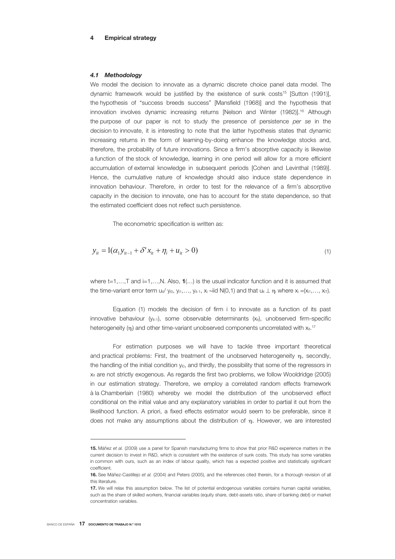#### *4.1 Methodology*

We model the decision to innovate as a dynamic discrete choice panel data model. The dynamic framework would be justified by the existence of sunk costs<sup>15</sup> [Sutton (1991)], the hypothesis of "success breeds success" [Mansfield (1968)] and the hypothesis that innovation involves dynamic increasing returns [Nelson and Winter (1982)].16 Although the purpose of our paper is not to study the presence of persistence *per se* in the decision to innovate, it is interesting to note that the latter hypothesis states that dynamic increasing returns in the form of learning-by-doing enhance the knowledge stocks and, therefore, the probability of future innovations. Since a firm's absorptive capacity is likewise a function of the stock of knowledge, learning in one period will allow for a more efficient accumulation of external knowledge in subsequent periods [Cohen and Levinthal (1989)]. Hence, the cumulative nature of knowledge should also induce state dependence in innovation behaviour. Therefore, in order to test for the relevance of a firm's absorptive capacity in the decision to innovate, one has to account for the state dependence, so that the estimated coefficient does not reflect such persistence.

The econometric specification is written as:

$$
y_{it} = 1(\alpha_1 y_{it-1} + \delta' x_{it} + \eta_i + u_{it} > 0)
$$
\n(1)

where t=1,…,T and i=1,…,N. Also, **1**(…) is the usual indicator function and it is assumed that the time-variant error term  $u_{it}/y_{i0}$ ,  $y_{i1},..., y_{it-1}$ ,  $x_i$  ~iid  $N(0,1)$  and that  $u_{it} \perp \eta_i$  where  $x_i = (x_{i1},..., x_{iT})$ .

Equation (1) models the decision of firm i to innovate as a function of its past innovative behaviour  $(y_{it-1})$ , some observable determinants  $(x_{it})$ , unobserved firm-specific heterogeneity  $(\eta_i)$  and other time-variant unobserved components uncorrelated with  $x_{it}$ .<sup>17</sup>

For estimation purposes we will have to tackle three important theoretical and practical problems: First, the treatment of the unobserved heterogeneity  $\eta_i$ , secondly, the handling of the initial condition  $y_0$ , and thirdly, the possibility that some of the regressors in  $x_{it}$  are not strictly exogenous. As regards the first two problems, we follow Wooldridge (2005) in our estimation strategy. Therefore, we employ a correlated random effects framework à la Chamberlain (1980) whereby we model the distribution of the unobserved effect conditional on the initial value and any explanatory variables in order to partial it out from the likelihood function. A priori, a fixed effects estimator would seem to be preferable, since it does not make any assumptions about the distribution of  $\eta_i$ . However, we are interested

**<sup>15</sup>.** Máñez *et al.* (2009) use a panel for Spanish manufacturing firms to show that prior R&D experience matters in the current decision to invest in R&D, which is consistent with the existence of sunk costs. This study has some variables in common with ours, such as an index of labour quality, which has a expected positive and statistically significant coefficient.

**<sup>16</sup>.** See Máñez-Castillejo *et al.* (2004) and Peters (2005), and the references cited therein, for a thorough revision of all this literature.

**<sup>17.</sup>** We will relax this assumption below. The list of potential endogenous variables contains human capital variables, such as the share of skilled workers, financial variables (equity share, debt-assets ratio, share of banking debt) or market concentration variables.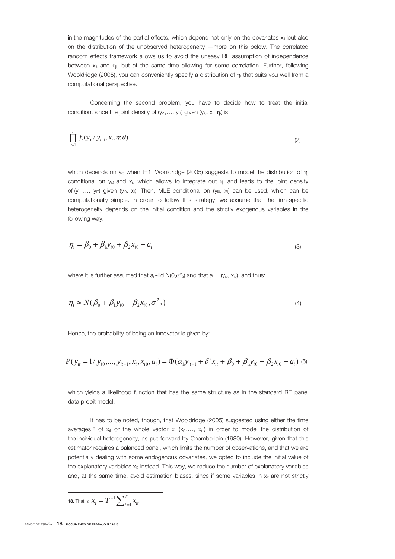in the magnitudes of the partial effects, which depend not only on the covariates  $x<sub>it</sub>$  but also on the distribution of the unobserved heterogeneity —more on this below. The correlated random effects framework allows us to avoid the uneasy RE assumption of independence between  $x_{it}$  and  $\eta_i$ , but at the same time allowing for some correlation. Further, following Wooldridge (2005), you can conveniently specify a distribution of  $\eta_i$  that suits you well from a computational perspective.

Concerning the second problem, you have to decide how to treat the initial condition, since the joint density of  $(y_{i1},..., y_{iT})$  given  $(y_{i0}, x_i, \eta_i)$  is

$$
\prod_{t=1}^{T} f_t(y_t / y_{t-1}, x_t, \eta; \theta)
$$
\n(2)

which depends on y<sub>i0</sub> when t=1. Wooldridge (2005) suggests to model the distribution of  $\eta_i$ conditional on  $y_{10}$  and x<sub>i</sub>, which allows to integrate out  $\eta_1$  and leads to the joint density of  $(y_{11},..., y_{1T})$  given  $(y_{10}, x_i)$ . Then, MLE conditional on  $(y_{10}, x_i)$  can be used, which can be computationally simple. In order to follow this strategy, we assume that the firm-specific heterogeneity depends on the initial condition and the strictly exogenous variables in the following way:

$$
\eta_i = \beta_0 + \beta_1 y_{i0} + \beta_2 x_{i0} + a_i \tag{3}
$$

where it is further assumed that a $\sim$ iid N(0, $\sigma^2$ a) and that a $\perp$  (y<sub>i0</sub>, x<sub>i0</sub>), and thus:

$$
\eta_i \approx N(\beta_0 + \beta_1 y_{i0} + \beta_2 x_{i0}, \sigma^2 a) \tag{4}
$$

Hence, the probability of being an innovator is given by:

$$
P(y_{it} = 1 / y_{i0},..., y_{it-1}, x_i, x_{i0}, a_i) = \Phi(\alpha_1 y_{it-1} + \delta' x_{it} + \beta_0 + \beta_1 y_{i0} + \beta_2 x_{i0} + a_i)
$$
 (5)

which yields a likelihood function that has the same structure as in the standard RE panel data probit model.

It has to be noted, though, that Wooldridge (2005) suggested using either the time averages<sup>18</sup> of  $x_{it}$  or the whole vector  $x_i=(x_{i1},...,x_{iT})$  in order to model the distribution of the individual heterogeneity, as put forward by Chamberlain (1980). However, given that this estimator requires a balanced panel, which limits the number of observations, and that we are potentially dealing with some endogenous covariates, we opted to include the initial value of the explanatory variables  $x_0$  instead. This way, we reduce the number of explanatory variables and, at the same time, avoid estimation biases, since if some variables in  $x_{it}$  are not strictly

**18.** That is 
$$
\bar{x}_i = T^{-1} \sum_{t=1}^T x_{it}
$$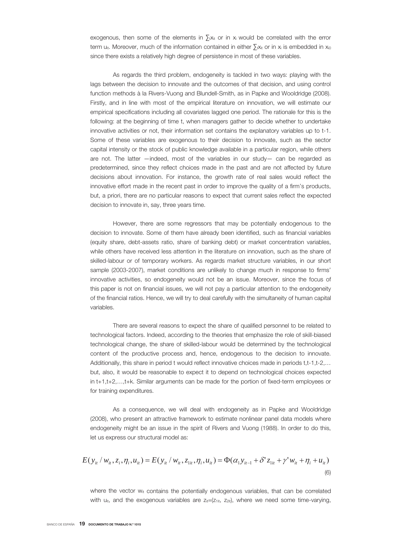exogenous, then some of the elements in  $\Sigma_{t}x_{it}$  or in  $x_{i}$  would be correlated with the error term  $u_{it}$ . Moreover, much of the information contained in either  $\sum_i x_{it}$  or in  $x_i$  is embedded in  $x_{i0}$ since there exists a relatively high degree of persistence in most of these variables.

As regards the third problem, endogeneity is tackled in two ways: playing with the lags between the decision to innovate and the outcomes of that decision, and using control function methods à la Rivers-Vuong and Blundell-Smith, as in Papke and Wooldridge (2008). Firstly, and in line with most of the empirical literature on innovation, we will estimate our empirical specifications including all covariates lagged one period. The rationale for this is the following: at the beginning of time t, when managers gather to decide whether to undertake innovative activities or not, their information set contains the explanatory variables up to t-1. Some of these variables are exogenous to their decision to innovate, such as the sector capital intensity or the stock of public knowledge available in a particular region, while others are not. The latter —indeed, most of the variables in our study— can be regarded as predetermined, since they reflect choices made in the past and are not affected by future decisions about innovation. For instance, the growth rate of real sales would reflect the innovative effort made in the recent past in order to improve the quality of a firm's products, but, a priori, there are no particular reasons to expect that current sales reflect the expected decision to innovate in, say, three years time.

However, there are some regressors that may be potentially endogenous to the decision to innovate. Some of them have already been identified, such as financial variables (equity share, debt-assets ratio, share of banking debt) or market concentration variables, while others have received less attention in the literature on innovation, such as the share of skilled-labour or of temporary workers. As regards market structure variables, in our short sample (2003-2007), market conditions are unlikely to change much in response to firms' innovative activities, so endogeneity would not be an issue. Moreover, since the focus of this paper is not on financial issues, we will not pay a particular attention to the endogeneity of the financial ratios. Hence, we will try to deal carefully with the simultaneity of human capital variables.

There are several reasons to expect the share of qualified personnel to be related to technological factors. Indeed, according to the theories that emphasize the role of skill-biased technological change, the share of skilled-labour would be determined by the technological content of the productive process and, hence, endogenous to the decision to innovate. Additionally, this share in period t would reflect innovative choices made in periods t,t-1,t-2,… but, also, it would be reasonable to expect it to depend on technological choices expected in t+1,t+2,…,t+k. Similar arguments can be made for the portion of fixed-term employees or for training expenditures.

As a consequence, we will deal with endogeneity as in Papke and Wooldridge (2008), who present an attractive framework to estimate nonlinear panel data models where endogeneity might be an issue in the spirit of Rivers and Vuong (1988). In order to do this, let us express our structural model as:

$$
E(y_{it} / w_{it}, z_i, \eta_i, u_{it}) = E(y_{it} / w_{it}, z_{1it}, \eta_i, u_{it}) = \Phi(\alpha_1 y_{it-1} + \delta' z_{1it} + \gamma' w_{it} + \eta_i + u_{it})
$$
  
(6)

where the vector  $w_{it}$  contains the potentially endogenous variables, that can be correlated with  $u_{it}$ , and the exogenous variables are  $z_{it}=(z_{1it}, z_{2it})$ , where we need some time-varying,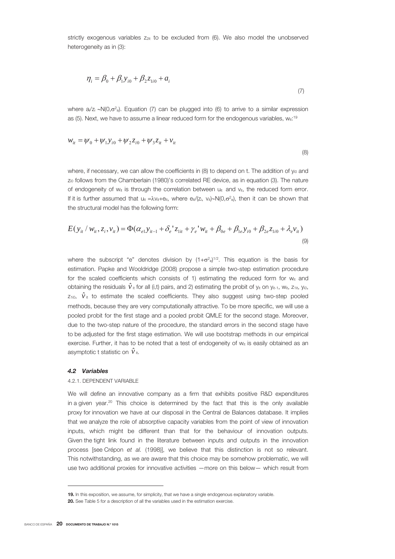strictly exogenous variables  $z_{2it}$  to be excluded from (6). We also model the unobserved heterogeneity as in (3):

$$
\eta_i = \beta_0 + \beta_1 y_{i0} + \beta_2 z_{1i0} + a_i
$$
\n(7)

where  $a/z_i \sim N(0, \sigma^2_a)$ . Equation (7) can be plugged into (6) to arrive to a similar expression as (5). Next, we have to assume a linear reduced form for the endogenous variables,  $w_{ii}$ :<sup>19</sup>

$$
w_{it} = \psi_0 + \psi_1 y_{i0} + \psi_2 z_{i0} + \psi_3 z_{it} + v_{it}
$$
\n(8)

where, if necessary, we can allow the coefficients in (8) to depend on t. The addition of  $y_{10}$  and  $z_0$  follows from the Chamberlain (1980)'s correlated RE device, as in equation (3). The nature of endogeneity of  $w_{it}$  is through the correlation between  $u_{it}$  and  $v_{it}$ , the reduced form error. If it is further assumed that  $u_{it} = \lambda v_{it} + e_{it}$ , where  $e_{it}/(z_i, v_{it}) \sim N(0, \sigma^2_e)$ , then it can be shown that the structural model has the following form:

$$
E(y_{it} / w_{it}, z_{i}, v_{it}) = \Phi(\alpha_{e1} y_{it-1} + \delta_{e}^{\ \ t} z_{1it} + \gamma_{e}^{\ \ t} w_{it} + \beta_{0e} + \beta_{1e} y_{i0} + \beta_{2e} z_{1i0} + \lambda_{e} v_{it})
$$
\n(9)

where the subscript "e" denotes division by  $(1+\sigma^2 e)^{1/2}$ . This equation is the basis for estimation. Papke and Wooldridge (2008) propose a simple two-step estimation procedure for the scaled coefficients which consists of 1) estimating the reduced form for  $w_{it}$  and obtaining the residuals  $\hat{v}_{it}$  for all (i,t) pairs, and 2) estimating the probit of  $y_{it}$  on  $y_{it-1}$ ,  $w_{it}$ ,  $z_{1it}$ ,  $y_{i0}$ ,  $z_{10}$ ,  $\hat{V}_{it}$  to estimate the scaled coefficients. They also suggest using two-step pooled methods, because they are very computationally attractive. To be more specific, we will use a pooled probit for the first stage and a pooled probit QMLE for the second stage. Moreover, due to the two-step nature of the procedure, the standard errors in the second stage have to be adjusted for the first stage estimation. We will use bootstrap methods in our empirical exercise. Further, it has to be noted that a test of endogeneity of  $w_{it}$  is easily obtained as an asymptotic t statistic on  $\hat{v}_{it}$ .

### *4.2 Variables*

### 4.2.1. DEPENDENT VARIABLE

We will define an innovative company as a firm that exhibits positive R&D expenditures in a given year.<sup>20</sup> This choice is determined by the fact that this is the only available proxy for innovation we have at our disposal in the Central de Balances database. It implies that we analyze the role of absorptive capacity variables from the point of view of innovation inputs, which might be different than that for the behaviour of innovation outputs. Given the tight link found in the literature between inputs and outputs in the innovation process [see Crépon *et al.* (1998)], we believe that this distinction is not so relevant. This notwithstanding, as we are aware that this choice may be somehow problematic, we will use two additional proxies for innovative activities —more on this below— which result from

j

**<sup>19</sup>**. In this exposition, we assume, for simplicity, that we have a single endogenous explanatory variable. **20.** See Table 5 for a description of all the variables used in the estimation exercise.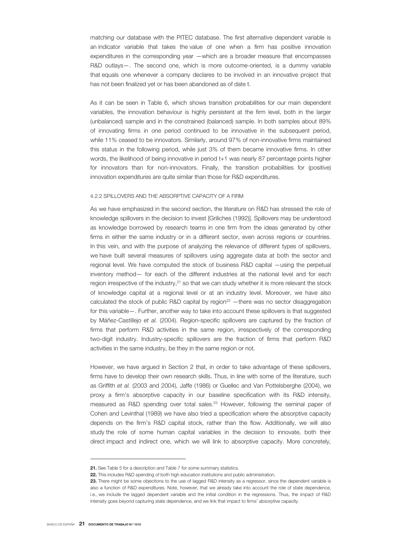matching our database with the PITEC database. The first alternative dependent variable is an indicator variable that takes the value of one when a firm has positive innovation expenditures in the corresponding year —which are a broader measure that encompasses R&D outlays—. The second one, which is more outcome-oriented, is a dummy variable that equals one whenever a company declares to be involved in an innovative project that has not been finalized yet or has been abandoned as of date t.

As it can be seen in Table 6, which shows transition probabilities for our main dependent variables, the innovation behaviour is highly persistent at the firm level, both in the larger (unbalanced) sample and in the constrained (balanced) sample. In both samples about 89% of innovating firms in one period continued to be innovative in the subsequent period, while 11% ceased to be innovators. Similarly, around 97% of non-innovative firms maintained this status in the following period, while just 3% of them became innovative firms. In other words, the likelihood of being innovative in period t+1 was nearly 87 percentage points higher for innovators than for non-innovators. Finally, the transition probabilities for (positive) innovation expenditures are quite similar than those for R&D expenditures.

#### 4.2.2 SPILLOVERS AND THE ABSORPTIVE CAPACITY OF A FIRM

As we have emphasized in the second section, the literature on R&D has stressed the role of knowledge spillovers in the decision to invest [Griliches (1992)]. Spillovers may be understood as knowledge borrowed by research teams in one firm from the ideas generated by other firms in either the same industry or in a different sector, even across regions or countries. In this vein, and with the purpose of analyzing the relevance of different types of spillovers, we have built several measures of spillovers using aggregate data at both the sector and regional level. We have computed the stock of business R&D capital —using the perpetual inventory method— for each of the different industries at the national level and for each region irrespective of the industry,<sup>21</sup> so that we can study whether it is more relevant the stock of knowledge capital at a regional level or at an industry level. Moreover, we have also calculated the stock of public R&D capital by region<sup>22</sup>  $-$  there was no sector disaggregation for this variable—. Further, another way to take into account these spillovers is that suggested by Máñez-Castillejo *et al.* (2004). Region-specific spillovers are captured by the fraction of firms that perform R&D activities in the same region, irrespectively of the corresponding two-digit industry. Industry-specific spillovers are the fraction of firms that perform R&D activities in the same industry, be they in the same region or not.

However, we have argued in Section 2 that, in order to take advantage of these spillovers, firms have to develop their own research skills. Thus, in line with some of the literature, such as Griffith *et al.* (2003 and 2004), Jaffe (1986) or Guellec and Van Pottelsberghe (2004), we proxy a firm's absorptive capacity in our baseline specification with its R&D intensity, measured as R&D spending over total sales.23 However, following the seminal paper of Cohen and Levinthal (1989) we have also tried a specification where the absorptive capacity depends on the firm's R&D capital stock, rather than the flow. Additionally, we will also study the role of some human capital variables in the decision to innovate, both their direct impact and indirect one, which we will link to absorptive capacity. More concretely,

**<sup>21</sup>.** See Table 5 for a description and Table 7 for some summary statistics.

**<sup>22</sup>.** This includes R&D spending of both high education institutions and public administration.

<sup>23.</sup> There might be some objections to the use of lagged R&D intensity as a regressor, since the dependent variable is also a function of R&D expenditures. Note, however, that we already take into account the role of state dependence, i.e., we include the lagged dependent variable and the initial condition in the regressions. Thus, the impact of R&D intensity goes beyond capturing state dependence, and we link that impact to firms' absorptive capacity.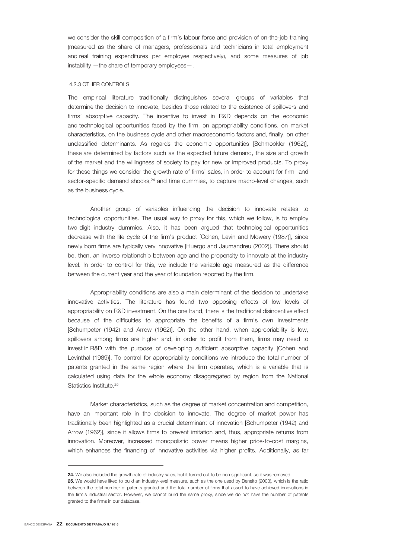we consider the skill composition of a firm's labour force and provision of on-the-job training (measured as the share of managers, professionals and technicians in total employment and real training expenditures per employee respectively), and some measures of job instability —the share of temporary employees—.

### 4.2.3 OTHER CONTROLS

The empirical literature traditionally distinguishes several groups of variables that determine the decision to innovate, besides those related to the existence of spillovers and firms' absorptive capacity. The incentive to invest in R&D depends on the economic and technological opportunities faced by the firm, on appropriability conditions, on market characteristics, on the business cycle and other macroeconomic factors and, finally, on other unclassified determinants. As regards the economic opportunities [Schmookler (1962)], these are determined by factors such as the expected future demand, the size and growth of the market and the willingness of society to pay for new or improved products. To proxy for these things we consider the growth rate of firms' sales, in order to account for firm- and sector-specific demand shocks,<sup>24</sup> and time dummies, to capture macro-level changes, such as the business cycle.

Another group of variables influencing the decision to innovate relates to technological opportunities. The usual way to proxy for this, which we follow, is to employ two-digit industry dummies. Also, it has been argued that technological opportunities decrease with the life cycle of the firm's product [Cohen, Levin and Mowery (1987)], since newly born firms are typically very innovative [Huergo and Jaumandreu (2002)]. There should be, then, an inverse relationship between age and the propensity to innovate at the industry level. In order to control for this, we include the variable age measured as the difference between the current year and the year of foundation reported by the firm.

Appropriability conditions are also a main determinant of the decision to undertake innovative activities. The literature has found two opposing effects of low levels of appropriability on R&D investment. On the one hand, there is the traditional disincentive effect because of the difficulties to appropriate the benefits of a firm's own investments [Schumpeter (1942) and Arrow (1962)]. On the other hand, when appropriability is low, spillovers among firms are higher and, in order to profit from them, firms may need to invest in R&D with the purpose of developing sufficient absorptive capacity [Cohen and Levinthal (1989)]. To control for appropriability conditions we introduce the total number of patents granted in the same region where the firm operates, which is a variable that is calculated using data for the whole economy disaggregated by region from the National Statistics Institute.25

Market characteristics, such as the degree of market concentration and competition, have an important role in the decision to innovate. The degree of market power has traditionally been highlighted as a crucial determinant of innovation [Schumpeter (1942) and Arrow (1962)], since it allows firms to prevent imitation and, thus, appropriate returns from innovation. Moreover, increased monopolistic power means higher price-to-cost margins, which enhances the financing of innovative activities via higher profits. Additionally, as far

j

**<sup>24</sup>.** We also included the growth rate of industry sales, but it turned out to be non significant, so it was removed.

**<sup>25</sup>.** We would have liked to build an industry-level measure, such as the one used by Beneito (2003), which is the ratio between the total number of patents granted and the total number of firms that assert to have achieved innovations in the firm's industrial sector. However, we cannot build the same proxy, since we do not have the number of patents granted to the firms in our database.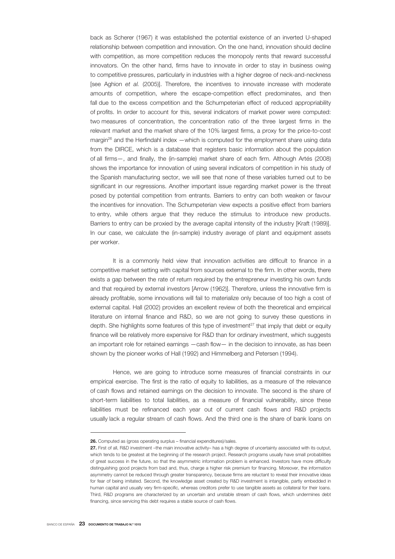back as Scherer (1967) it was established the potential existence of an inverted U-shaped relationship between competition and innovation. On the one hand, innovation should decline with competition, as more competition reduces the monopoly rents that reward successful innovators. On the other hand, firms have to innovate in order to stay in business owing to competitive pressures, particularly in industries with a higher degree of neck-and-neckness [see Aghion *et al.* (2005)]. Therefore, the incentives to innovate increase with moderate amounts of competition, where the escape-competition effect predominates, and then fall due to the excess competition and the Schumpeterian effect of reduced appropriability of profits. In order to account for this, several indicators of market power were computed: two measures of concentration, the concentration ratio of the three largest firms in the relevant market and the market share of the 10% largest firms, a proxy for the price-to-cost margin<sup>26</sup> and the Herfindahl index  $-$  which is computed for the employment share using data from the DIRCE, which is a database that registers basic information about the population of all firms—, and finally, the (in-sample) market share of each firm. Although Artés (2008) shows the importance for innovation of using several indicators of competition in his study of the Spanish manufacturing sector, we will see that none of these variables turned out to be significant in our regressions. Another important issue regarding market power is the threat posed by potential competition from entrants. Barriers to entry can both weaken or favour the incentives for innovation. The Schumpeterian view expects a positive effect from barriers to entry, while others argue that they reduce the stimulus to introduce new products. Barriers to entry can be proxied by the average capital intensity of the industry [Kraft (1989)]. In our case, we calculate the (in-sample) industry average of plant and equipment assets per worker.

It is a commonly held view that innovation activities are difficult to finance in a competitive market setting with capital from sources external to the firm. In other words, there exists a gap between the rate of return required by the entrepreneur investing his own funds and that required by external investors [Arrow (1962)]. Therefore, unless the innovative firm is already profitable, some innovations will fail to materialize only because of too high a cost of external capital. Hall (2002) provides an excellent review of both the theoretical and empirical literature on internal finance and R&D, so we are not going to survey these questions in depth. She highlights some features of this type of investment<sup>27</sup> that imply that debt or equity finance will be relatively more expensive for R&D than for ordinary investment, which suggests an important role for retained earnings —cash flow— in the decision to innovate, as has been shown by the pioneer works of Hall (1992) and Himmelberg and Petersen (1994).

Hence, we are going to introduce some measures of financial constraints in our empirical exercise. The first is the ratio of equity to liabilities, as a measure of the relevance of cash flows and retained earnings on the decision to innovate. The second is the share of short-term liabilities to total liabilities, as a measure of financial vulnerability, since these liabilities must be refinanced each year out of current cash flows and R&D projects usually lack a regular stream of cash flows. And the third one is the share of bank loans on

**<sup>26</sup>.** Computed as (gross operating surplus – financial expenditures)/sales.

**<sup>27</sup>.** First of all, R&D investment –the main innovative activity– has a high degree of uncertainty associated with its output, which tends to be greatest at the beginning of the research project. Research programs usually have small probabilities of great success in the future, so that the asymmetric information problem is enhanced. Investors have more difficulty distinguishing good projects from bad and, thus, charge a higher risk premium for financing. Moreover, the information asymmetry cannot be reduced through greater transparency, because firms are reluctant to reveal their innovative ideas for fear of being imitated. Second, the knowledge asset created by R&D investment is intangible, partly embedded in human capital and usually very firm-specific, whereas creditors prefer to use tangible assets as collateral for their loans. Third, R&D programs are characterized by an uncertain and unstable stream of cash flows, which undermines debt financing, since servicing this debt requires a stable source of cash flows.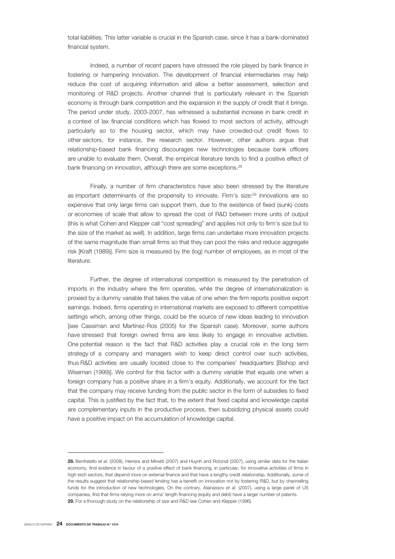total liabilities. This latter variable is crucial in the Spanish case, since it has a bank-dominated financial system.

Indeed, a number of recent papers have stressed the role played by bank finance in fostering or hampering innovation. The development of financial intermediaries may help reduce the cost of acquiring information and allow a better assessment, selection and monitoring of R&D projects. Another channel that is particularly relevant in the Spanish economy is through bank competition and the expansion in the supply of credit that it brings. The period under study, 2003-2007, has witnessed a substantial increase in bank credit in a context of lax financial conditions which has flowed to most sectors of activity, although particularly so to the housing sector, which may have crowded-out credit flows to other sectors, for instance, the research sector. However, other authors argue that relationship-based bank financing discourages new technologies because bank officers are unable to evaluate them. Overall, the empirical literature tends to find a positive effect of bank financing on innovation, although there are some exceptions.<sup>28</sup>

Finally, a number of firm characteristics have also been stressed by the literature as important determinants of the propensity to innovate. Firm's size: $^{29}$  innovations are so expensive that only large firms can support them, due to the existence of fixed (sunk) costs or economies of scale that allow to spread the cost of R&D between more units of output (this is what Cohen and Klepper call "cost spreading" and applies not only to firm's size but to the size of the market as well). In addition, large firms can undertake more innovation projects of the same magnitude than small firms so that they can pool the risks and reduce aggregate risk [Kraft (1989)]. Firm size is measured by the (log) number of employees, as in most of the literature.

Further, the degree of international competition is measured by the penetration of imports in the industry where the firm operates, while the degree of internationalization is proxied by a dummy variable that takes the value of one when the firm reports positive export earnings. Indeed, firms operating in international markets are exposed to different competitive settings which, among other things, could be the source of new ideas leading to innovation [see Cassiman and Martínez-Ros (2005) for the Spanish case). Moreover, some authors have stressed that foreign owned firms are less likely to engage in innovative activities. One potential reason is the fact that R&D activities play a crucial role in the long term strategy of a company and managers wish to keep direct control over such activities, thus R&D activities are usually located close to the companies' headquarters [Bishop and Wiseman (1999)]. We control for this factor with a dummy variable that equals one when a foreign company has a positive share in a firm's equity. Additionally, we account for the fact that the company may receive funding from the public sector in the form of subsidies to fixed capital. This is justified by the fact that, to the extent that fixed capital and knowledge capital are complementary inputs in the productive process, then subsidizing physical assets could have a positive impact on the accumulation of knowledge capital.

I

**<sup>28</sup>.** Benfratello *et al.* (2008), Herrera and Minetti (2007) and Huynh and Rotondi (2007), using similar data for the Italian economy, find evidence in favour of a positive effect of bank financing, in particular, for innovative activities of firms in high-tech sectors, that depend more on external finance and that have a lengthy credit relationship. Additionally, some of the results suggest that relationship-based lending has a benefit on innovation not by fostering R&D, but by channelling funds for the introduction of new technologies. On the contrary, Atanassov *et al.* (2007), using a large panel of US companies, find that firms relying more on arms' length financing (equity and debt) have a larger number of patents. 29. For a thorough study on the relationship of size and R&D see Cohen and Klepper (1996).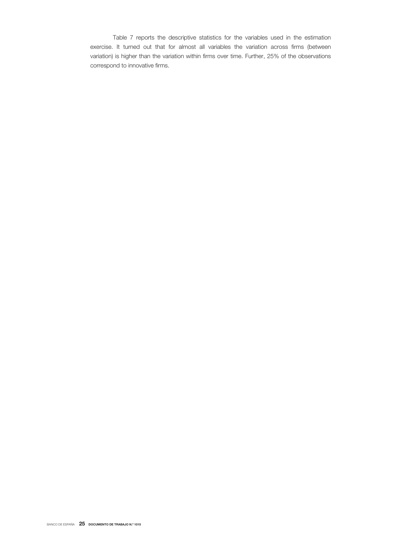Table 7 reports the descriptive statistics for the variables used in the estimation exercise. It turned out that for almost all variables the variation across firms (between variation) is higher than the variation within firms over time. Further, 25% of the observations correspond to innovative firms.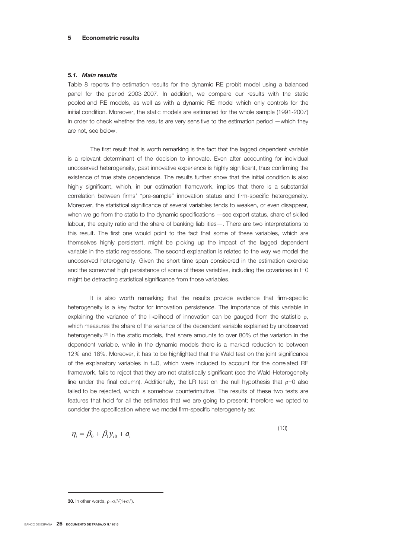### **5 Econometric results**

#### *5.1. Main results*

Table 8 reports the estimation results for the dynamic RE probit model using a balanced panel for the period 2003-2007. In addition, we compare our results with the static pooled and RE models, as well as with a dynamic RE model which only controls for the initial condition. Moreover, the static models are estimated for the whole sample (1991-2007) in order to check whether the results are very sensitive to the estimation period —which they are not, see below.

The first result that is worth remarking is the fact that the lagged dependent variable is a relevant determinant of the decision to innovate. Even after accounting for individual unobserved heterogeneity, past innovative experience is highly significant, thus confirming the existence of true state dependence. The results further show that the initial condition is also highly significant, which, in our estimation framework, implies that there is a substantial correlation between firms' "pre-sample" innovation status and firm-specific heterogeneity. Moreover, the statistical significance of several variables tends to weaken, or even disappear, when we go from the static to the dynamic specifications —see export status, share of skilled labour, the equity ratio and the share of banking liabilities—. There are two interpretations to this result. The first one would point to the fact that some of these variables, which are themselves highly persistent, might be picking up the impact of the lagged dependent variable in the static regressions. The second explanation is related to the way we model the unobserved heterogeneity. Given the short time span considered in the estimation exercise and the somewhat high persistence of some of these variables, including the covariates in t=0 might be detracting statistical significance from those variables.

It is also worth remarking that the results provide evidence that firm-specific heterogeneity is a key factor for innovation persistence. The importance of this variable in explaining the variance of the likelihood of innovation can be gauged from the statistic  $\rho$ . which measures the share of the variance of the dependent variable explained by unobserved heterogeneity.<sup>30</sup> In the static models, that share amounts to over 80% of the variation in the dependent variable, while in the dynamic models there is a marked reduction to between 12% and 18%. Moreover, it has to be highlighted that the Wald test on the joint significance of the explanatory variables in t=0, which were included to account for the correlated RE framework, fails to reject that they are not statistically significant (see the Wald-Heterogeneity line under the final column). Additionally, the LR test on the null hypothesis that  $p=0$  also failed to be rejected, which is somehow counterintuitive. The results of these two tests are features that hold for all the estimates that we are going to present; therefore we opted to consider the specification where we model firm-specific heterogeneity as:

$$
\eta_i = \beta_0 + \beta_1 y_{i0} + a_i \tag{10}
$$

I

**<sup>30.</sup>** In other words,  $\rho = \sigma_a^2/(1+\sigma_a^2)$ .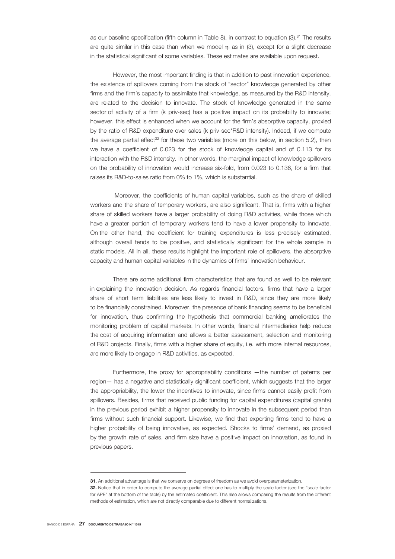as our baseline specification (fifth column in Table 8), in contrast to equation (3).<sup>31</sup> The results are quite similar in this case than when we model  $\eta_i$  as in (3), except for a slight decrease in the statistical significant of some variables. These estimates are available upon request.

However, the most important finding is that in addition to past innovation experience, the existence of spillovers coming from the stock of "sector" knowledge generated by other firms and the firm's capacity to assimilate that knowledge, as measured by the R&D intensity, are related to the decision to innovate. The stock of knowledge generated in the same sector of activity of a firm (k priv-sec) has a positive impact on its probability to innovate; however, this effect is enhanced when we account for the firm's absorptive capacity, proxied by the ratio of R&D expenditure over sales (k priv-sec\*R&D intensity). Indeed, if we compute the average partial effect<sup>32</sup> for these two variables (more on this below, in section 5.2), then we have a coefficient of 0.023 for the stock of knowledge capital and of 0.113 for its interaction with the R&D intensity. In other words, the marginal impact of knowledge spillovers on the probability of innovation would increase six-fold, from 0.023 to 0.136, for a firm that raises its R&D-to-sales ratio from 0% to 1%, which is substantial.

 Moreover, the coefficients of human capital variables, such as the share of skilled workers and the share of temporary workers, are also significant. That is, firms with a higher share of skilled workers have a larger probability of doing R&D activities, while those which have a greater portion of temporary workers tend to have a lower propensity to innovate. On the other hand, the coefficient for training expenditures is less precisely estimated, although overall tends to be positive, and statistically significant for the whole sample in static models. All in all, these results highlight the important role of spillovers, the absorptive capacity and human capital variables in the dynamics of firms' innovation behaviour.

There are some additional firm characteristics that are found as well to be relevant in explaining the innovation decision. As regards financial factors, firms that have a larger share of short term liabilities are less likely to invest in R&D, since they are more likely to be financially constrained. Moreover, the presence of bank financing seems to be beneficial for innovation, thus confirming the hypothesis that commercial banking ameliorates the monitoring problem of capital markets. In other words, financial intermediaries help reduce the cost of acquiring information and allows a better assessment, selection and monitoring of R&D projects. Finally, firms with a higher share of equity, i.e. with more internal resources, are more likely to engage in R&D activities, as expected.

Furthermore, the proxy for appropriability conditions —the number of patents per region— has a negative and statistically significant coefficient, which suggests that the larger the appropriability, the lower the incentives to innovate, since firms cannot easily profit from spillovers. Besides, firms that received public funding for capital expenditures (capital grants) in the previous period exhibit a higher propensity to innovate in the subsequent period than firms without such financial support. Likewise, we find that exporting firms tend to have a higher probability of being innovative, as expected. Shocks to firms' demand, as proxied by the growth rate of sales, and firm size have a positive impact on innovation, as found in previous papers.

**<sup>31.</sup>** An additional advantage is that we conserve on degrees of freedom as we avoid overparameterization.

**<sup>32</sup>.** Notice that in order to compute the average partial effect one has to multiply the scale factor (see the "scale factor for APE" at the bottom of the table) by the estimated coefficient. This also allows comparing the results from the different methods of estimation, which are not directly comparable due to different normalizations.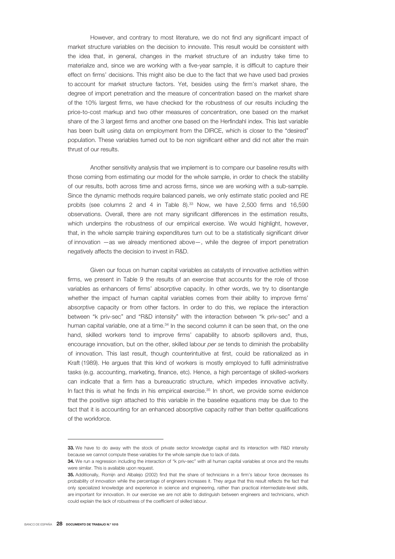However, and contrary to most literature, we do not find any significant impact of market structure variables on the decision to innovate. This result would be consistent with the idea that, in general, changes in the market structure of an industry take time to materialize and, since we are working with a five-year sample, it is difficult to capture their effect on firms' decisions. This might also be due to the fact that we have used bad proxies to account for market structure factors. Yet, besides using the firm's market share, the degree of import penetration and the measure of concentration based on the market share of the 10% largest firms, we have checked for the robustness of our results including the price-to-cost markup and two other measures of concentration, one based on the market share of the 3 largest firms and another one based on the Herfindahl index. This last variable has been built using data on employment from the DIRCE, which is closer to the "desired" population. These variables turned out to be non significant either and did not alter the main thrust of our results.

Another sensitivity analysis that we implement is to compare our baseline results with those coming from estimating our model for the whole sample, in order to check the stability of our results, both across time and across firms, since we are working with a sub-sample. Since the dynamic methods require balanced panels, we only estimate static pooled and RE probits (see columns 2 and 4 in Table 8). $^{33}$  Now, we have 2,500 firms and 16,590 observations. Overall, there are not many significant differences in the estimation results, which underpins the robustness of our empirical exercise. We would highlight, however, that, in the whole sample training expenditures turn out to be a statistically significant driver of innovation —as we already mentioned above—, while the degree of import penetration negatively affects the decision to invest in R&D.

Given our focus on human capital variables as catalysts of innovative activities within firms, we present in Table 9 the results of an exercise that accounts for the role of those variables as enhancers of firms' absorptive capacity. In other words, we try to disentangle whether the impact of human capital variables comes from their ability to improve firms' absorptive capacity or from other factors. In order to do this, we replace the interaction between "k priv-sec" and "R&D intensity" with the interaction between "k priv-sec" and a human capital variable, one at a time.<sup>34</sup> In the second column it can be seen that, on the one hand, skilled workers tend to improve firms' capability to absorb spillovers and, thus, encourage innovation, but on the other, skilled labour *per se* tends to diminish the probability of innovation. This last result, though counterintuitive at first, could be rationalized as in Kraft (1989). He argues that this kind of workers is mostly employed to fulfil administrative tasks (e.g. accounting, marketing, finance, etc). Hence, a high percentage of skilled-workers can indicate that a firm has a bureaucratic structure, which impedes innovative activity. In fact this is what he finds in his empirical exercise. $35$  In short, we provide some evidence that the positive sign attached to this variable in the baseline equations may be due to the fact that it is accounting for an enhanced absorptive capacity rather than better qualifications of the workforce.

 $\overline{a}$ 

**<sup>33</sup>.** We have to do away with the stock of private sector knowledge capital and its interaction with R&D intensity because we cannot compute these variables for the whole sample due to lack of data.

**<sup>34</sup>.** We run a regression including the interaction of "k priv-sec" with all human capital variables at once and the results were similar. This is available upon request.

**<sup>35.</sup>** Additionally, Romijn and Albalejo (2002) find that the share of technicians in a firm's labour force decreases its probability of innovation while the percentage of engineers increases it. They argue that this result reflects the fact that only specialized knowledge and experience in science and engineering, rather than practical intermediate-level skills, are important for innovation. In our exercise we are not able to distinguish between engineers and technicians, which could explain the lack of robustness of the coefficient of skilled labour.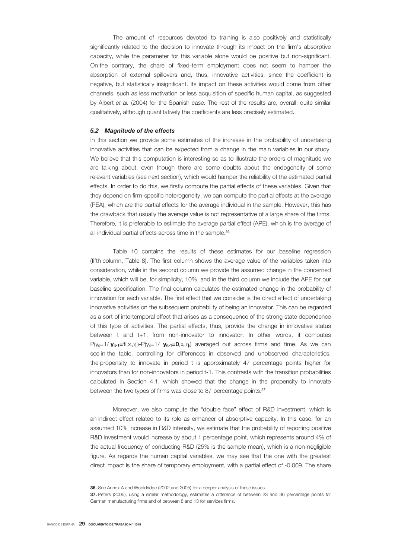The amount of resources devoted to training is also positively and statistically significantly related to the decision to innovate through its impact on the firm's absorptive capacity, while the parameter for this variable alone would be positive but non-significant. On the contrary, the share of fixed-term employment does not seem to hamper the absorption of external spillovers and, thus, innovative activities, since the coefficient is negative, but statistically insignificant. Its impact on these activities would come from other channels, such as less motivation or less acquisition of specific human capital, as suggested by Albert *et al.* (2004) for the Spanish case. The rest of the results are, overall, quite similar qualitatively, although quantitatively the coefficients are less precisely estimated.

### *5.2 Magnitude of the effects*

In this section we provide some estimates of the increase in the probability of undertaking innovative activities that can be expected from a change in the main variables in our study. We believe that this computation is interesting so as to illustrate the orders of magnitude we are talking about, even though there are some doubts about the endogeneity of some relevant variables (see next section), which would hamper the reliability of the estimated partial effects. In order to do this, we firstly compute the partial effects of these variables. Given that they depend on firm-specific heterogeneity, we can compute the partial effects at the average (PEA), which are the partial effects for the average individual in the sample. However, this has the drawback that usually the average value is not representative of a large share of the firms. Therefore, it is preferable to estimate the average partial effect (APE), which is the average of all individual partial effects across time in the sample.<sup>36</sup>

Table 10 contains the results of these estimates for our baseline regression (fifth column, Table 8). The first column shows the average value of the variables taken into consideration, while in the second column we provide the assumed change in the concerned variable, which will be, for simplicity, 10%, and in the third column we include the APE for our baseline specification. The final column calculates the estimated change in the probability of innovation for each variable. The first effect that we consider is the direct effect of undertaking innovative activities on the subsequent probability of being an innovator. This can be regarded as a sort of intertemporal effect that arises as a consequence of the strong state dependence of this type of activities. The partial effects, thus, provide the change in innovative status between t and t+1, from non-innovator to innovator. In other words, it computes  $P(y_{it}=1/\mathbf{y}_{it-1}=1,x_{i},n_{i})-P(y_{it}=1/\mathbf{y}_{it-1}=0,x_{i},n_{i})$  averaged out across firms and time. As we can see in the table, controlling for differences in observed and unobserved characteristics, the propensity to innovate in period t is approximately 47 percentage points higher for innovators than for non-innovators in period t-1. This contrasts with the transition probabilities calculated in Section 4.1, which showed that the change in the propensity to innovate between the two types of firms was close to 87 percentage points.<sup>37</sup>

Moreover, we also compute the "double face" effect of R&D investment, which is an indirect effect related to its role as enhancer of absorptive capacity. In this case, for an assumed 10% increase in R&D intensity, we estimate that the probability of reporting positive R&D investment would increase by about 1 percentage point, which represents around 4% of the actual frequency of conducting R&D (25% is the sample mean), which is a non-negligible figure. As regards the human capital variables, we may see that the one with the greatest direct impact is the share of temporary employment, with a partial effect of -0.069. The share

**<sup>36</sup>.** See Annex A and Wooldridge (2002 and 2005) for a deeper analysis of these issues.

**<sup>37</sup>.** Peters (2005), using a similar methodology, estimates a difference of between 23 and 36 percentage points for German manufacturing firms and of between 8 and 13 for services firms.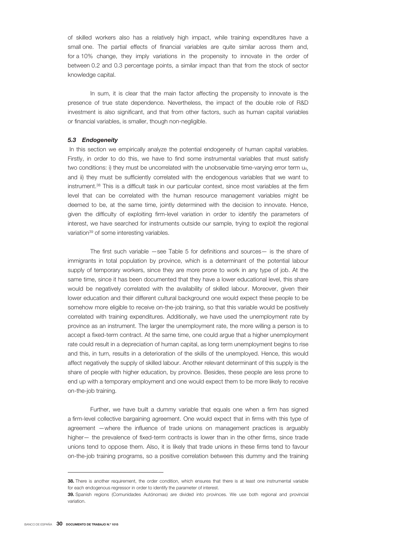of skilled workers also has a relatively high impact, while training expenditures have a small one. The partial effects of financial variables are quite similar across them and, for a 10% change, they imply variations in the propensity to innovate in the order of between 0.2 and 0.3 percentage points, a similar impact than that from the stock of sector knowledge capital.

In sum, it is clear that the main factor affecting the propensity to innovate is the presence of true state dependence. Nevertheless, the impact of the double role of R&D investment is also significant, and that from other factors, such as human capital variables or financial variables, is smaller, though non-negligible.

### *5.3 Endogeneity*

 In this section we empirically analyze the potential endogeneity of human capital variables. Firstly, in order to do this, we have to find some instrumental variables that must satisfy two conditions: i) they must be uncorrelated with the unobservable time-varying error term  $u_{it}$ , and ii) they must be sufficiently correlated with the endogenous variables that we want to instrument.38 This is a difficult task in our particular context, since most variables at the firm level that can be correlated with the human resource management variables might be deemed to be, at the same time, jointly determined with the decision to innovate. Hence, given the difficulty of exploiting firm-level variation in order to identify the parameters of interest, we have searched for instruments outside our sample, trying to exploit the regional variation<sup>39</sup> of some interesting variables.

The first such variable —see Table 5 for definitions and sources— is the share of immigrants in total population by province, which is a determinant of the potential labour supply of temporary workers, since they are more prone to work in any type of job. At the same time, since it has been documented that they have a lower educational level, this share would be negatively correlated with the availability of skilled labour. Moreover, given their lower education and their different cultural background one would expect these people to be somehow more eligible to receive on-the-job training, so that this variable would be positively correlated with training expenditures. Additionally, we have used the unemployment rate by province as an instrument. The larger the unemployment rate, the more willing a person is to accept a fixed-term contract. At the same time, one could argue that a higher unemployment rate could result in a depreciation of human capital, as long term unemployment begins to rise and this, in turn, results in a deterioration of the skills of the unemployed. Hence, this would affect negatively the supply of skilled labour. Another relevant determinant of this supply is the share of people with higher education, by province. Besides, these people are less prone to end up with a temporary employment and one would expect them to be more likely to receive on-the-job training.

Further, we have built a dummy variable that equals one when a firm has signed a firm-level collective bargaining agreement. One would expect that in firms with this type of agreement —where the influence of trade unions on management practices is arguably higher— the prevalence of fixed-term contracts is lower than in the other firms, since trade unions tend to oppose them. Also, it is likely that trade unions in these firms tend to favour on-the-job training programs, so a positive correlation between this dummy and the training

I

**<sup>38</sup>.** There is another requirement, the order condition, which ensures that there is at least one instrumental variable for each endogenous regressor in order to identify the parameter of interest.

**<sup>39</sup>.** Spanish regions (Comunidades Autónomas) are divided into provinces. We use both regional and provincial variation.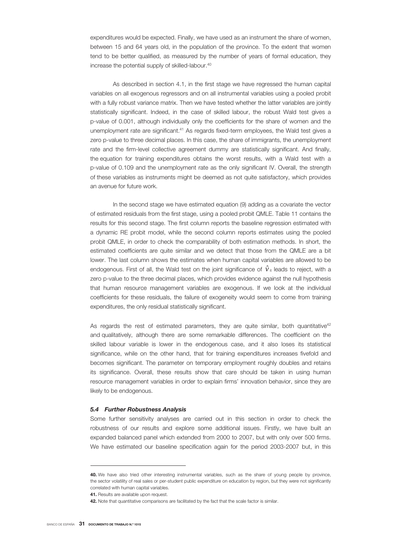expenditures would be expected. Finally, we have used as an instrument the share of women, between 15 and 64 years old, in the population of the province. To the extent that women tend to be better qualified, as measured by the number of years of formal education, they increase the potential supply of skilled-labour.<sup>40</sup>

As described in section 4.1, in the first stage we have regressed the human capital variables on all exogenous regressors and on all instrumental variables using a pooled probit with a fully robust variance matrix. Then we have tested whether the latter variables are jointly statistically significant. Indeed, in the case of skilled labour, the robust Wald test gives a p-value of 0.001, although individually only the coefficients for the share of women and the unemployment rate are significant.41 As regards fixed-term employees, the Wald test gives a zero p-value to three decimal places. In this case, the share of immigrants, the unemployment rate and the firm-level collective agreement dummy are statistically significant. And finally, the equation for training expenditures obtains the worst results, with a Wald test with a p-value of 0.109 and the unemployment rate as the only significant IV. Overall, the strength of these variables as instruments might be deemed as not quite satisfactory, which provides an avenue for future work.

In the second stage we have estimated equation (9) adding as a covariate the vector of estimated residuals from the first stage, using a pooled probit QMLE. Table 11 contains the results for this second stage. The first column reports the baseline regression estimated with a dynamic RE probit model, while the second column reports estimates using the pooled probit QMLE, in order to check the comparability of both estimation methods. In short, the estimated coefficients are quite similar and we detect that those from the QMLE are a bit lower. The last column shows the estimates when human capital variables are allowed to be endogenous. First of all, the Wald test on the joint significance of  $\hat{v}_\text{it}$  leads to reject, with a zero p-value to the three decimal places, which provides evidence against the null hypothesis that human resource management variables are exogenous. If we look at the individual coefficients for these residuals, the failure of exogeneity would seem to come from training expenditures, the only residual statistically significant.

As regards the rest of estimated parameters, they are quite similar, both quantitative<sup>42</sup> and qualitatively, although there are some remarkable differences. The coefficient on the skilled labour variable is lower in the endogenous case, and it also loses its statistical significance, while on the other hand, that for training expenditures increases fivefold and becomes significant. The parameter on temporary employment roughly doubles and retains its significance. Overall, these results show that care should be taken in using human resource management variables in order to explain firms' innovation behavior, since they are likely to be endogenous.

### *5.4 Further Robustness Analysis*

Some further sensitivity analyses are carried out in this section in order to check the robustness of our results and explore some additional issues. Firstly, we have built an expanded balanced panel which extended from 2000 to 2007, but with only over 500 firms. We have estimated our baseline specification again for the period 2003-2007 but, in this

**<sup>40</sup>.** We have also tried other interesting instrumental variables, such as the share of young people by province, the sector volatility of real sales or per-student public expenditure on education by region, but they were not significantly correlated with human capital variables.

**<sup>41</sup>** Results are available upon request

**<sup>42.</sup>** Note that quantitative comparisons are facilitated by the fact that the scale factor is similar.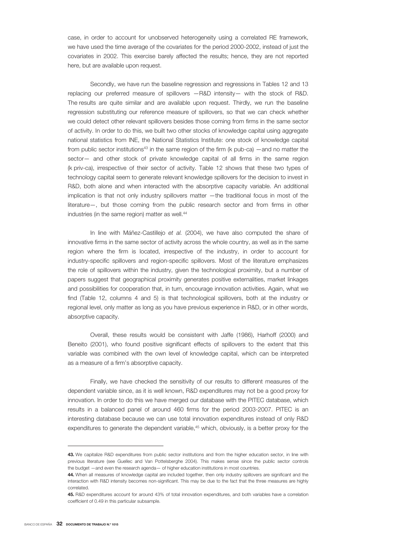case, in order to account for unobserved heterogeneity using a correlated RE framework, we have used the time average of the covariates for the period 2000-2002, instead of just the covariates in 2002. This exercise barely affected the results; hence, they are not reported here, but are available upon request.

Secondly, we have run the baseline regression and regressions in Tables 12 and 13 replacing our preferred measure of spillovers —R&D intensity— with the stock of R&D. The results are quite similar and are available upon request. Thirdly, we run the baseline regression substituting our reference measure of spillovers, so that we can check whether we could detect other relevant spillovers besides those coming from firms in the same sector of activity. In order to do this, we built two other stocks of knowledge capital using aggregate national statistics from INE, the National Statistics Institute: one stock of knowledge capital from public sector institutions<sup>43</sup> in the same region of the firm (k pub-ca) —and no matter the sector— and other stock of private knowledge capital of all firms in the same region (k priv-ca), irrespective of their sector of activity. Table 12 shows that these two types of technology capital seem to generate relevant knowledge spillovers for the decision to invest in R&D, both alone and when interacted with the absorptive capacity variable. An additional implication is that not only industry spillovers matter —the traditional focus in most of the literature—, but those coming from the public research sector and from firms in other industries (in the same region) matter as well.<sup>44</sup>

In line with Máñez-Castillejo *et al.* (2004), we have also computed the share of innovative firms in the same sector of activity across the whole country, as well as in the same region where the firm is located, irrespective of the industry, in order to account for industry-specific spillovers and region-specific spillovers. Most of the literature emphasizes the role of spillovers within the industry, given the technological proximity, but a number of papers suggest that geographical proximity generates positive externalities, market linkages and possibilities for cooperation that, in turn, encourage innovation activities. Again, what we find (Table 12, columns 4 and 5) is that technological spillovers, both at the industry or regional level, only matter as long as you have previous experience in R&D, or in other words, absorptive capacity.

Overall, these results would be consistent with Jaffe (1986), Harhoff (2000) and Beneito (2001), who found positive significant effects of spillovers to the extent that this variable was combined with the own level of knowledge capital, which can be interpreted as a measure of a firm's absorptive capacity.

Finally, we have checked the sensitivity of our results to different measures of the dependent variable since, as it is well known, R&D expenditures may not be a good proxy for innovation. In order to do this we have merged our database with the PITEC database, which results in a balanced panel of around 460 firms for the period 2003-2007. PITEC is an interesting database because we can use total innovation expenditures instead of only R&D expenditures to generate the dependent variable,45 which, obviously, is a better proxy for the

I

**<sup>43</sup>.** We capitalize R&D expenditures from public sector institutions and from the higher education sector, in line with previous literature (see Guellec and Van Pottelsberghe 2004). This makes sense since the public sector controls the budget —and even the research agenda— of higher education institutions in most countries.

**<sup>44</sup>.** When all measures of knowledge capital are included together, then only industry spillovers are significant and the interaction with R&D intensity becomes non-significant. This may be due to the fact that the three measures are highly correlated.

**<sup>45</sup>.** R&D expenditures account for around 43% of total innovation expenditures, and both variables have a correlation coefficient of 0.49 in this particular subsample.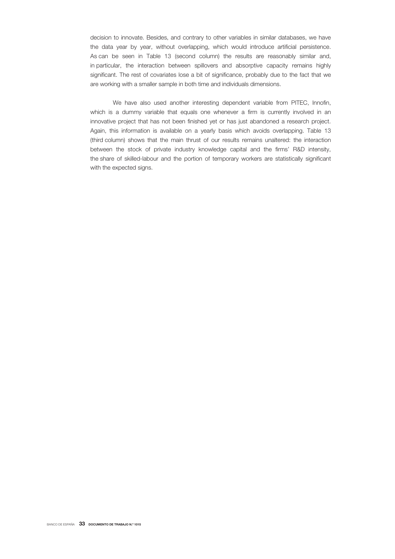decision to innovate. Besides, and contrary to other variables in similar databases, we have the data year by year, without overlapping, which would introduce artificial persistence. As can be seen in Table 13 (second column) the results are reasonably similar and, in particular, the interaction between spillovers and absorptive capacity remains highly significant. The rest of covariates lose a bit of significance, probably due to the fact that we are working with a smaller sample in both time and individuals dimensions.

We have also used another interesting dependent variable from PITEC, Innofin, which is a dummy variable that equals one whenever a firm is currently involved in an innovative project that has not been finished yet or has just abandoned a research project. Again, this information is available on a yearly basis which avoids overlapping. Table 13 (third column) shows that the main thrust of our results remains unaltered: the interaction between the stock of private industry knowledge capital and the firms' R&D intensity, the share of skilled-labour and the portion of temporary workers are statistically significant with the expected signs.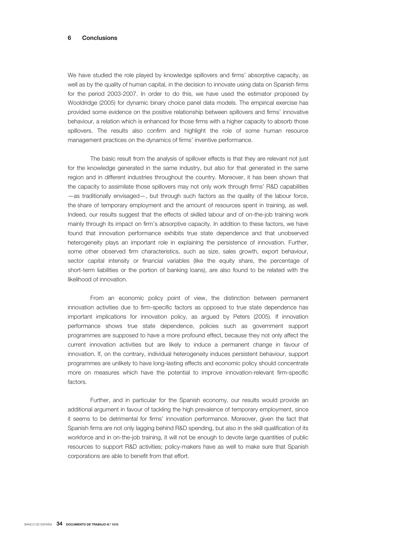### **6 Conclusions**

We have studied the role played by knowledge spillovers and firms' absorptive capacity, as well as by the quality of human capital, in the decision to innovate using data on Spanish firms for the period 2003-2007. In order to do this, we have used the estimator proposed by Wooldridge (2005) for dynamic binary choice panel data models. The empirical exercise has provided some evidence on the positive relationship between spillovers and firms' innovative behaviour, a relation which is enhanced for those firms with a higher capacity to absorb those spillovers. The results also confirm and highlight the role of some human resource management practices on the dynamics of firms' inventive performance.

The basic result from the analysis of spillover effects is that they are relevant not just for the knowledge generated in the same industry, but also for that generated in the same region and in different industries throughout the country. Moreover, it has been shown that the capacity to assimilate those spillovers may not only work through firms' R&D capabilities —as traditionally envisaged—, but through such factors as the quality of the labour force, the share of temporary employment and the amount of resources spent in training, as well. Indeed, our results suggest that the effects of skilled labour and of on-the-job training work mainly through its impact on firm's absorptive capacity. In addition to these factors, we have found that innovation performance exhibits true state dependence and that unobserved heterogeneity plays an important role in explaining the persistence of innovation. Further, some other observed firm characteristics, such as size, sales growth, export behaviour, sector capital intensity or financial variables (like the equity share, the percentage of short-term liabilities or the portion of banking loans), are also found to be related with the likelihood of innovation.

From an economic policy point of view, the distinction between permanent innovation activities due to firm-specific factors as opposed to true state dependence has important implications for innovation policy, as argued by Peters (2005). If innovation performance shows true state dependence, policies such as government support programmes are supposed to have a more profound effect, because they not only affect the current innovation activities but are likely to induce a permanent change in favour of innovation. If, on the contrary, individual heterogeneity induces persistent behaviour, support programmes are unlikely to have long-lasting effects and economic policy should concentrate more on measures which have the potential to improve innovation-relevant firm-specific factors.

Further, and in particular for the Spanish economy, our results would provide an additional argument in favour of tackling the high prevalence of temporary employment, since it seems to be detrimental for firms' innovation performance. Moreover, given the fact that Spanish firms are not only lagging behind R&D spending, but also in the skill qualification of its workforce and in on-the-job training, it will not be enough to devote large quantities of public resources to support R&D activities; policy-makers have as well to make sure that Spanish corporations are able to benefit from that effort.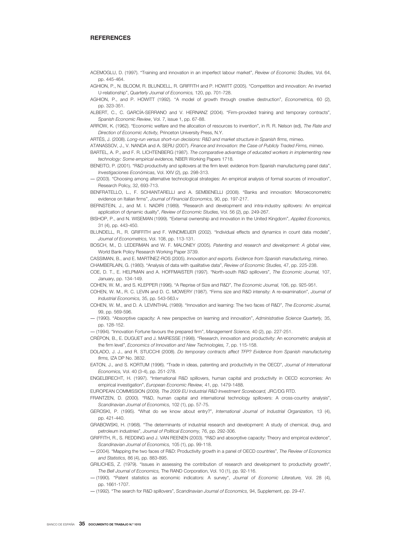### **REFERENCES**

ACEMOGLU, D. (1997). "Training and innovation in an imperfect labour market", *Review of Economic Studies,* Vol. 64, pp. 445-464.

AGHION, P., N. BLOOM, R. BLUNDELL, R. GRIFFITH and P. HOWITT (2005). "Competition and innovation: An inverted U-relationship", *Quarterly Journal of Economics,* 120, pp. 701-728.

AGHION, P., and P. HOWITT (1992). "A model of growth through creative destruction", *Econometrica,* 60 (2), pp. 323-351.

ALBERT, C., C. GARCÍA-SERRANO and V. HERNANZ (2004). "Firm-provided training and temporary contracts", *Spanish Economic Review,* Vol. 7, issue 1, pp. 67-88.

ARROW, K. (1962). "Economic welfare and the allocation of resources to invention", in R. R. Nelson (ed), *The Rate and Direction of Economic Activity,* Princeton University Press, N.Y.

ARTÉS, J. (2008). *Long-run versus short-run decisions: R&D and market structure in Spanish firms,* mimeo.

ATANASSOV, J., V. NANDA and A. SERU (2007). *Finance and Innovation: the Case of Publicly Traded Firms,* mimeo.

BARTEL, A. P., and F. R. LICHTENBERG (1987). *The comparative advantage of educated workers in implementing new technology: Some empirical evidence,* NBER Working Papers 1718.

BENEITO, P. (2001). "R&D productivity and spillovers at the firm level: evidence from Spanish manufacturing panel data", *Investigaciones Económicas,* Vol. XXV (2), pp. 298-313.

ʊ (2003). "Choosing among alternative technological strategies: An empirical analysis of formal sources of innovation", Research Policy, 32, 693-713.

BENFRATELLO, L., F. SCHIANTARELLI and A. SEMBENELLI (2008). "Banks and innovation: Microeconometric evidence on Italian firms", *Journal of Financial Economics,* 90, pp. 197-217.

BERNSTEIN, J., and M. I. NADIRI (1989). "Research and development and intra-industry spillovers: An empirical application of dynamic duality", *Review of Economic Studies,* Vol. 56 (2), pp. 249-267.

BISHOP, P., and N. WISEMAN (1999). "External ownership and innovation in the United Kingdom", *Applied Economics,*  31 (4), pp. 443-450.

BLUNDELL, R., R. GRIFFITH and F. WINDMEIJER (2002). "Individual effects and dynamics in count data models", *Journal of Econometrics,* Vol. 108, pp. 113-131.

BOSCH, M., D. LEDERMAN and W. F. MALONEY (2005). *Patenting and research and development: A global view,* World Bank Policy Research Working Paper 3739.

CASSIMAN, B., and E. MARTÍNEZ-ROS (2005). *Innovation and exports. Evidence from Spanish manufacturing,* mimeo. CHAMBERLAIN, G. (1980). "Analysis of data with qualitative data", *Review of Economic Studies,* 47, pp. 225-238.

COE, D. T., E. HELPMAN and A. HOFFMAISTER (1997). "North-south R&D spillovers", *The Economic Journal,* 107, January, pp. 134-149.

COHEN, W. M., and S. KLEPPER (1996). "A Reprise of Size and R&D", *The Economic Journal,* 106, pp. 925-951.

COHEN, W. M., R. C. LEVIN and D. C. MOWERY (1987). "Firms size and R&D intensity: A re-examination", *Journal of Industrial Economics,* 35, pp. 543-563.v

- COHEN, W. M., and D. A. LEVINTHAL (1989). "Innovation and learning: The two faces of R&D", *The Economic Journal,* 99, pp. 569-596.
- ʊ (1990). "Absorptive capacity: A new perspective on learning and innovation", *Administrative Science Quarterly,* 35, pp. 128-152.

ʊ (1994). "Innovation Fortune favours the prepared firm", *Management Science,* 40 (2), pp. 227-251.

CRÉPON, B., E. DUGUET and J. MAIRESSE (1998). "Research, innovation and productivity: An econometric analysis at the firm level", *Economics of Innovation and New Technologies,* 7, pp. 115-158.

DOLADO, J. J., and R. STUCCHI (2008). *Do temporary contracts affect TFP? Evidence from Spanish manufacturing firms,* IZA DP No. 3832.

EATON, J., and S. KORTUM (1996). "Trade in ideas, patenting and productivity in the OECD", *Journal of International Economics,* Vol. 40 (3-4), pp. 251-278.

ENGELBRECHT, H. (1997). "International R&D spillovers, human capital and productivity in OECD economies: An empirical investigation", *European Economic Review,* 41, pp. 1479-1488.

EUROPEAN COMMISSION (2009). *The 2009 EU Industrial R&D Investment Scoreboard,* JRC/DG RTD.

FRANTZEN, D. (2000). "R&D, human capital and international technology spillovers: A cross-country analysis", *Scandinavian Journal of Economics,* 102 (1), pp. 57-75.

GEROSKI, P. (1995). "What do we know about entry?", *International Journal of Industrial Organization,* 13 (4), pp. 421-440.

GRABOWSKI, H. (1968). "The determinants of industrial research and development: A study of chemical, drug, and petroleum industries", *Journal of Political Economy,* 76, pp. 292-306.

GRIFFITH, R., S. REDDING and J. VAN REENEN (2003). "R&D and absorptive capacity: Theory and empirical evidence", *Scandinavian Journal of Economics,* 105 (1), pp. 99-118.

ʊ (2004). "Mapping the two faces of R&D: Productivity growth in a panel of OECD countries", *The Review of Economics and Statistics,* 86 (4), pp. 883-895.

GRILICHES, Z. (1979). "Issues in assessing the contribution of research and development to productivity growth", *The Bell Journal of Economics,* The RAND Corporation, Vol. 10 (1), pp. 92-116.

ʊ (1990). "Patent statistics as economic indicators: A survey", *Journal of Economic Literature,* Vol. 28 (4), pp. 1661-1707.

ʊ (1992). "The search for R&D spillovers", *Scandinavian Journal of Economics,* 94, Supplement, pp. 29-47.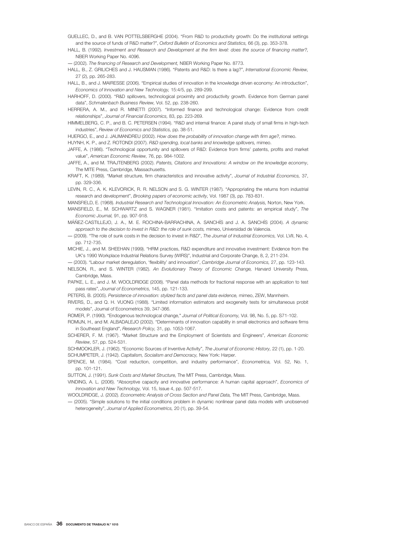- GUELLEC, D., and B. VAN POTTELSBERGHE (2004). "From R&D to productivity growth: Do the institutional settings and the source of funds of R&D matter?", *Oxford Bulletin of Economics and Statistics,* 66 (3), pp. 353-378.
- HALL, B. (1992). *Investment and Research and Development at the firm level: does the source of financing matter?,* NBER Working Paper No. 4096.
- ʊ (2002). *The financing of Research and Development,* NBER Working Paper No. 8773.
- HALL, B., Z. GRILICHES and J. HAUSMAN (1986). "Patents and R&D: Is there a lag?", *International Economic Review,* 27 (2), pp. 265-283.
- HALL, B., and J. MAIRESSE (2006). "Empirical studies of innovation in the knowledge driven economy: An introduction", *Economics of Innovation and New Technology,* 15:4/5, pp. 289-299.
- HARHOFF, D. (2000). "R&D spillovers, technological proximity and productivity growth. Evidence from German panel data", *Schmalenbach Business Review,* Vol. 52, pp. 238-260.
- HERRERA, A. M., and R. MINETTI (2007). "Informed finance and technological change: Evidence from credit relationships", *Journal of Financial Economics,* 83, pp. 223-269.
- HIMMELBERG, C. P., and B. C. PETERSEN (1994). "R&D and internal finance: A panel study of small firms in high-tech industries", *Review of Economics and Statistics,* pp. 38-51.
- HUERGO, E., and J. JAUMANDREU (2002). *How does the probability of innovation change with firm age?,* mimeo.
- HUYNH, K. P., and Z. ROTONDI (2007). *R&D spending, local banks and knowledge spillovers,* mimeo.
- JAFFE, A. (1986). "Technological opportunity and spillovers of R&D: Evidence from firms' patents, profits and market value", *American Economic Review,* 76, pp. 984-1002.
- JAFFE, A., and M. TRAJTENBERG (2002). *Patents, Citations and Innovations: A window on the knowledge economy*, The MITE Press, Cambridge, Massachusetts.
- KRAFT, K. (1989). "Market structure, firm characteristics and innovative activity", *Journal of Industrial Economics,* 37, pp. 329-336.
- LEVIN, R. C., A. K. KLEVORICK, R. R. NELSON and S. G. WINTER (1987). "Appropriating the returns from industrial research and development", *Brooking papers of economic activity,* Vol. 1987 (3), pp. 783-831.
- MANSFIELD, E. (1968). *Industrial Research and Technological Innovation: An Econometric Analysis,* Norton, New York.
- MANSFIELD, E., M. SCHWARTZ and S. WAGNER (1981). "Imitation costs and patents: an empirical study", *The Economic Journal,* 91, pp. 907-918.
- MÁÑEZ-CASTILLEJO, J. A., M. E. ROCHINA-BARRACHINA, A. SANCHÍS and J. A. SANCHÍS (2004). *A dynamic approach to the decision to invest in R&D: the role of sunk costs,* mimeo, Universidad de Valencia.
- ʊ (2009). "The role of sunk costs in the decision to invest in R&D", *The Journal of Industrial Economics,* Vol. LVII, No. 4, pp. 712-735.
- MICHIE, J., and M. SHEEHAN (1999). "HRM practices, R&D expenditure and innovative investment: Evidence from the UK's 1990 Workplace Industrial Relations Survey (WIRS)", Industrial and Corporate Change, 8, 2, 211-234.
- ʊ (2003). "Labour market deregulation, 'flexibility' and innovation", *Cambridge Journal of Economics,* 27, pp. 123-143.
- NELSON, R., and S. WINTER (1982). *An Evolutionary Theory of Economic Change,* Harvard University Press, Cambridge, Mass.
- PAPKE, L. E., and J. M. WOOLDRIDGE (2008). "Panel data methods for fractional response with an application to test pass rates", *Journal of Econometrics,* 145, pp. 121-133.
- PETERS, B. (2005). *Persistence of innovation: stylized facts and panel data evidence,* mimeo, ZEW, Mannheim.
- RIVERS, D., and Q. H. VUONG (1988). "Limited information estimators and exogeneity tests for simultaneous probit models", Journal of Econometrics 39, 347-366.
- ROMER, P. (1990). "Endogenous technological change," *Journal of Political Economy,* Vol. 98, No. 5, pp. S71-102.
- ROMIJN, H., and M. ALBADALEJO (2002). "Determinants of innovation capability in small electronics and software firms in Southeast England", *Research Policy,* 31, pp. 1053-1067.
- SCHERER, F. M. (1967). "Market Structure and the Employment of Scientists and Engineers", *American Economic Review,* 57, pp. 524-531.
- SCHMOOKLER, J. (1962). "Economic Sources of Inventive Activity", *The Journal of Economic History,* 22 (1), pp. 1-20. SCHUMPETER, J. (1942). *Capitalism, Socialism and Democracy,* New York: Harper.
- SPENCE, M. (1984). "Cost reduction, competition, and industry performance", *Econometrica,* Vol. 52, No. 1, pp. 101-121.
- SUTTON, J. (1991). *Sunk Costs and Market Structure,* The MIT Press, Cambridge, Mass.
- VINDING, A. L. (2006). "Absorptive capacity and innovative performance: A human capital approach", *Economics of Innovation and New Technology,* Vol. 15, Issue 4, pp. 507-517.
- WOOLDRIDGE, J. (2002). *Econometric Analysis of Cross Section and Panel Data,* The MIT Press, Cambridge, Mass.
- (2005). "Simple solutions to the initial conditions problem in dynamic nonlinear panel data models with unobserved heterogeneity", *Journal of Applied Econometrics,* 20 (1), pp. 39-54.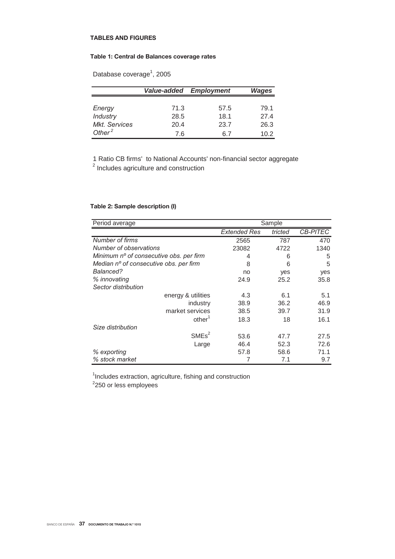## **TABLES AND FIGURES**

## **Table 1: Central de Balances coverage rates**

Database coverage<sup>1</sup>, 2005

|               | <b>Value-added Employment</b> |      | <b>Wages</b> |
|---------------|-------------------------------|------|--------------|
|               |                               |      |              |
| Energy        | 71.3                          | 57.5 | 79.1         |
| Industry      | 28.5                          | 18.1 | 27.4         |
| Mkt. Services | 20.4                          | 23.7 | 26.3         |
| Other $^2$    | 7.6                           | 6 7  | 10.2         |

1 Ratio CB firms' to National Accounts' non-financial sector aggregate 2 Includes agriculture and construction

**Table 2: Sample description (I)** 

| Period average                          | Sample              |         |                 |  |  |
|-----------------------------------------|---------------------|---------|-----------------|--|--|
|                                         | <b>Extended Res</b> | tricted | <b>CB-PITEC</b> |  |  |
| Number of firms                         | 2565                | 787     | 470             |  |  |
| Number of observations                  | 23082               | 4722    | 1340            |  |  |
| Minimum nº of consecutive obs. per firm | 4                   | 6       | 5               |  |  |
| Median nº of consecutive obs. per firm  | 8                   | 6       | 5               |  |  |
| Balanced?                               | no                  | yes     | yes             |  |  |
| % innovating                            | 24.9                | 25.2    | 35.8            |  |  |
| Sector distribution                     |                     |         |                 |  |  |
| energy & utilities                      | 4.3                 | 6.1     | 5.1             |  |  |
| industry                                | 38.9                | 36.2    | 46.9            |  |  |
| market services                         | 38.5                | 39.7    | 31.9            |  |  |
| other <sup>1</sup>                      | 18.3                | 18      | 16.1            |  |  |
| Size distribution                       |                     |         |                 |  |  |
| SMEs <sup>2</sup>                       | 53.6                | 47.7    | 27.5            |  |  |
| Large                                   | 46.4                | 52.3    | 72.6            |  |  |
| % exporting                             | 57.8                | 58.6    | 71.1            |  |  |
| % stock market                          | 7                   | 7.1     | 9.7             |  |  |

<sup>1</sup>Includes extraction, agriculture, fishing and construction<br><sup>2</sup>250 or less employees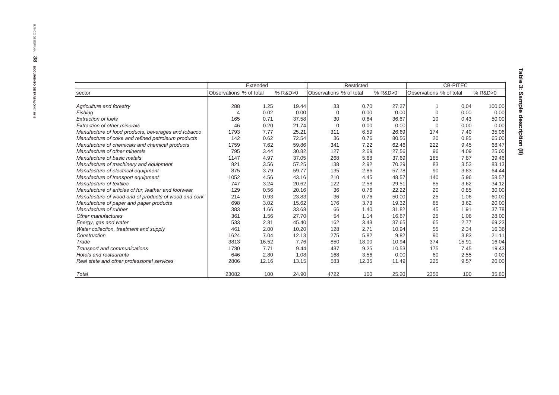|                                                      |                         | Extended |         |                         | Restricted |         |                         | <b>CB-PITEC</b> |         |
|------------------------------------------------------|-------------------------|----------|---------|-------------------------|------------|---------|-------------------------|-----------------|---------|
| sector                                               | Observations % of total |          | % R&D>0 | Observations % of total |            | % R&D>0 | Observations % of total |                 | % R&D>0 |
| Agriculture and forestry                             | 288                     | 1.25     | 19.44   | 33                      | 0.70       | 27.27   |                         | 0.04            | 100.00  |
| Fishing                                              | $\overline{4}$          | 0.02     | 0.00    | $\Omega$                | 0.00       | 0.00    | 0                       | 0.00            | 0.00    |
| <b>Extraction of fuels</b>                           | 165                     | 0.71     | 37.58   | 30                      | 0.64       | 36.67   | 10                      | 0.43            | 50.00   |
| <b>Extraction of other minerals</b>                  | 46                      | 0.20     | 21.74   | $\Omega$                | 0.00       | 0.00    | $\mathbf 0$             | 0.00            | 0.00    |
| Manufacture of food products, beverages and tobacco  | 1793                    | 7.77     | 25.21   | 311                     | 6.59       | 26.69   | 174                     | 7.40            | 35.06   |
| Manufacture of coke and refined petroleum products   | 142                     | 0.62     | 72.54   | 36                      | 0.76       | 80.56   | 20                      | 0.85            | 65.00   |
| Manufacture of chemicals and chemical products       | 1759                    | 7.62     | 59.86   | 341                     | 7.22       | 62.46   | 222                     | 9.45            | 68.47   |
| Manufacture of other minerals                        | 795                     | 3.44     | 30.82   | 127                     | 2.69       | 27.56   | 96                      | 4.09            | 25.00   |
| Manufacture of basic metals                          | 1147                    | 4.97     | 37.05   | 268                     | 5.68       | 37.69   | 185                     | 7.87            | 39.46   |
| Manufacture of machinery and equipment               | 821                     | 3.56     | 57.25   | 138                     | 2.92       | 70.29   | 83                      | 3.53            | 83.13   |
| Manufacture of electrical equipment                  | 875                     | 3.79     | 59.77   | 135                     | 2.86       | 57.78   | 90                      | 3.83            | 64.44   |
| Manufacture of transport equipment                   | 1052                    | 4.56     | 43.16   | 210                     | 4.45       | 48.57   | 140                     | 5.96            | 58.57   |
| Manufacture of textiles                              | 747                     | 3.24     | 20.62   | 122                     | 2.58       | 29.51   | 85                      | 3.62            | 34.12   |
| Manufacture of articles of fur, leather and footwear | 129                     | 0.56     | 20.16   | 36                      | 0.76       | 22.22   | 20                      | 0.85            | 30.00   |
| Manufacture of wood and of products of wood and cork | 214                     | 0.93     | 23.83   | 36                      | 0.76       | 50.00   | 25                      | 1.06            | 60.00   |
| Manufacture of paper and paper products              | 698                     | 3.02     | 15.62   | 176                     | 3.73       | 19.32   | 85                      | 3.62            | 20.00   |
| Manufacture of rubber                                | 383                     | 1.66     | 33.68   | 66                      | 1.40       | 31.82   | 45                      | 1.91            | 37.78   |
| Other manufactures                                   | 361                     | 1.56     | 27.70   | 54                      | 1.14       | 16.67   | 25                      | 1.06            | 28.00   |
| Energy, gas and water                                | 533                     | 2.31     | 45.40   | 162                     | 3.43       | 37.65   | 65                      | 2.77            | 69.23   |
| Water collection, treatment and supply               | 461                     | 2.00     | 10.20   | 128                     | 2.71       | 10.94   | 55                      | 2.34            | 16.36   |
| Construction                                         | 1624                    | 7.04     | 12.13   | 275                     | 5.82       | 9.82    | 90                      | 3.83            | 21.11   |
| Trade                                                | 3813                    | 16.52    | 7.76    | 850                     | 18.00      | 10.94   | 374                     | 15.91           | 16.04   |
| Transport and communications                         | 1780                    | 7.71     | 9.44    | 437                     | 9.25       | 10.53   | 175                     | 7.45            | 19.43   |
| Hotels and restaurants                               | 646                     | 2.80     | 1.08    | 168                     | 3.56       | 0.00    | 60                      | 2.55            | 0.00    |
| Real state and other professional services           | 2806                    | 12.16    | 13.15   | 583                     | 12.35      | 11.49   | 225                     | 9.57            | 20.00   |

35.80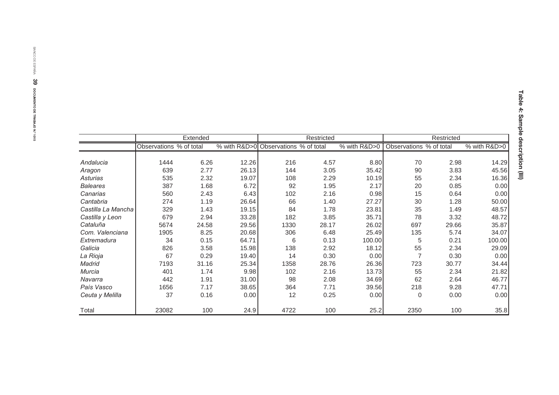| Restricted |                 |              |  |  |  |  |  |
|------------|-----------------|--------------|--|--|--|--|--|
|            | ions % of total | % with R&D>0 |  |  |  |  |  |
|            |                 |              |  |  |  |  |  |
| 70         | 2.98            | 14.29        |  |  |  |  |  |
| 90         | 3.83            | 45.56        |  |  |  |  |  |
| 55         | 2.34            | 16.36        |  |  |  |  |  |
| 20         | 0.85            | 0.00         |  |  |  |  |  |
| 15         | 0.64            | 0.00         |  |  |  |  |  |
| 30         | 1.28            | 50.00        |  |  |  |  |  |
| 35         | 1.49            | 48.57        |  |  |  |  |  |
| 78         | 3.32            | 48.72        |  |  |  |  |  |
| 697        | 29.66           | 35.87        |  |  |  |  |  |
| 135        | 5.74            | 34.07        |  |  |  |  |  |
|            |                 |              |  |  |  |  |  |

|                    |                         | Extended |                                      |      | Restricted |              |                         | Restricted |              |
|--------------------|-------------------------|----------|--------------------------------------|------|------------|--------------|-------------------------|------------|--------------|
|                    | Observations % of total |          | % with R&D>0 Observations % of total |      |            | % with R&D>0 | Observations % of total |            | % with R&D>0 |
| Andalucia          | 1444                    | 6.26     | 12.26                                | 216  | 4.57       | 8.80         | 70                      | 2.98       | 14.29        |
| Aragon             | 639                     | 2.77     | 26.13                                | 144  | 3.05       | 35.42        | 90                      | 3.83       | 45.56        |
| <b>Asturias</b>    | 535                     | 2.32     | 19.07                                | 108  | 2.29       | 10.19        | 55                      | 2.34       | 16.36        |
| <b>Baleares</b>    | 387                     | 1.68     | 6.72                                 | 92   | 1.95       | 2.17         | 20                      | 0.85       | 0.00         |
| Canarias           | 560                     | 2.43     | 6.43                                 | 102  | 2.16       | 0.98         | 15                      | 0.64       | 0.00         |
| Cantabria          | 274                     | 1.19     | 26.64                                | 66   | 1.40       | 27.27        | 30                      | 1.28       | 50.00        |
| Castilla La Mancha | 329                     | 1.43     | 19.15                                | 84   | 1.78       | 23.81        | 35                      | 1.49       | 48.57        |
| Castilla y Leon    | 679                     | 2.94     | 33.28                                | 182  | 3.85       | 35.71        | 78                      | 3.32       | 48.72        |
| Cataluña           | 5674                    | 24.58    | 29.56                                | 1330 | 28.17      | 26.02        | 697                     | 29.66      | 35.87        |
| Com. Valenciana    | 1905                    | 8.25     | 20.68                                | 306  | 6.48       | 25.49        | 135                     | 5.74       | 34.07        |
| Extremadura        | 34                      | 0.15     | 64.71                                | 6    | 0.13       | 100.00       | 5                       | 0.21       | 100.00       |
| Galicia            | 826                     | 3.58     | 15.98                                | 138  | 2.92       | 18.12        | 55                      | 2.34       | 29.09        |
| La Rioja           | 67                      | 0.29     | 19.40                                | 14   | 0.30       | 0.00         | $\overline{7}$          | 0.30       | 0.00         |
| Madrid             | 7193                    | 31.16    | 25.34                                | 1358 | 28.76      | 26.36        | 723                     | 30.77      | 34.44        |
| Murcia             | 401                     | 1.74     | 9.98                                 | 102  | 2.16       | 13.73        | 55                      | 2.34       | 21.82        |
| Navarra            | 442                     | 1.91     | 31.00                                | 98   | 2.08       | 34.69        | 62                      | 2.64       | 46.77        |
| País Vasco         | 1656                    | 7.17     | 38.65                                | 364  | 7.71       | 39.56        | 218                     | 9.28       | 47.71        |
| Ceuta y Melilla    | 37                      | 0.16     | 0.00                                 | 12   | 0.25       | 0.00         | 0                       | 0.00       | 0.00         |
| Total              | 23082                   | 100      | 24.9                                 | 4722 | 100        | 25.2         | 2350                    | 100        | 35.8         |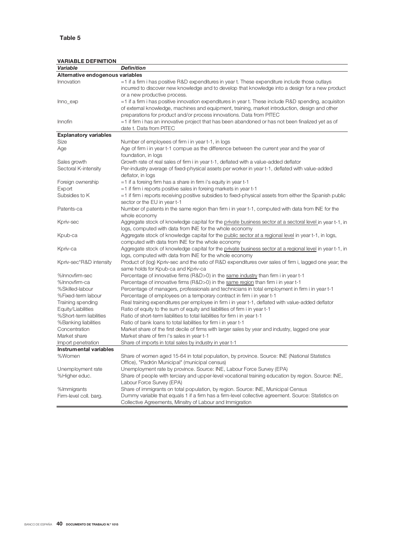**VARIABLE DEFINITION**

| Variable                         | <b>Definition</b>                                                                                         |
|----------------------------------|-----------------------------------------------------------------------------------------------------------|
| Alternative endogenous variables |                                                                                                           |
| Innovation                       | $=$ 1 if a firm i has positive R&D expenditures in year t. These expenditure include those outlays        |
|                                  | incurred to discover new knowledge and to develop that knowledge into a design for a new product          |
|                                  | or a new productive process.                                                                              |
| Inno_exp                         | $=$ 1 if a firm i has positive innovation expenditures in year t. These include R&D spending, acquisiton  |
|                                  | of external knowledge, machines and equipment, training, market introduction, design and other            |
|                                  | preparations for product and/or process innovations. Data from PITEC                                      |
| Innofin                          | $=1$ if firm i has an innovative project that has been abandoned or has not been finalized yet as of      |
|                                  | date t. Data from PITEC                                                                                   |
| <b>Explanatory variables</b>     |                                                                                                           |
| Size                             | Number of employees of firm i in year t-1, in logs                                                        |
| Age                              | Age of firm i in year t-1 compue as the difference between the current year and the year of               |
|                                  | foundation, in logs                                                                                       |
| Sales growth                     | Growth rate of real sales of firm i in year t-1, deflated with a value-added deflator                     |
|                                  |                                                                                                           |
| Sectoral K-intensity             | Per-industry average of fixed-physical assets per worker in year t-1, deflated with value-added           |
|                                  | deflator, in logs                                                                                         |
| Foreign ownership                | $=1$ if a foreing firm has a share in firm i's equity in year t-1                                         |
| Export                           | =1 if firm i reports positive sales in foreing markets in year t-1                                        |
| Subsidies to K                   | =1 if firm i reports receiving positive subsidies to fixed-physical assets from either the Spanish public |
|                                  | sector or the EU in year t-1                                                                              |
| Patents-ca                       | Number of patents in the same region than firm i in year t-1, computed with data from INE for the         |
|                                  | whole economy                                                                                             |
| Kpriv-sec                        | Aggregate stock of knowledge capital for the private business sector at a sectoral level in year t-1, in  |
|                                  | logs, computed with data from INE for the whole economy                                                   |
| Kpub-ca                          | Aggregate stock of knowledge capital for the public sector at a regional level in year t-1, in logs,      |
|                                  | computed with data from INE for the whole economy                                                         |
| Kpriv-ca                         | Aggregate stock of knowledge capital for the private business sector at a regional level in year t-1, in  |
|                                  | logs, computed with data from INE for the whole economy                                                   |
| Kpriv-sec*R&D intensity          | Product of (log) Kpriv-sec and the ratio of R&D expenditures over sales of firm i, lagged one year; the   |
|                                  | same holds for Kpub-ca and Kpriv-ca                                                                       |
| %Innovfirm-sec                   | Percentage of innovative firms (R&D>0) in the same industry than firm i in year t-1                       |
| %Innovfirm-ca                    | Percentage of innovative firms (R&D>0) in the same region than firm i in year t-1                         |
| %Skilled-labour                  | Percentage of managers, professionals and technicians in total employment in firm i in year t-1           |
| %Fixed-term labour               | Percentage of employees on a temporary contract in firm i in year t-1                                     |
| Training spending                | Real training expenditures per employee in firm i in year t-1, deflated with value-added deflator         |
| Equity/Liabilities               | Ratio of equity to the sum of equity and liabilities of firm i in year t-1                                |
| %Short-term liabilities          | Ratio of short-term liabilities to total liabilities for firm i in year t-1                               |
| %Banking liabilities             | Ratio of bank loans to total liabilities for firm i in year t-1                                           |
| Concentration                    | Market share of the first decile of firms with larger sales by year and industry, lagged one year         |
| Market share                     | Market share of firm i's sales in year t-1                                                                |
| Import penetration               | Share of imports in total sales by industry in year t-1                                                   |
| Instrumental variables           |                                                                                                           |
| %Women                           | Share of women aged 15-64 in total population, by province. Source: INE (National Statistics              |
|                                  | Office), "Padrón Municipal" (municipal census)                                                            |
| Unemployment rate                | Unemployment rate by province. Source: INE, Labour Force Survey (EPA)                                     |
| %Higher educ.                    | Share of people with terciary and upper-level vocational training education by region. Source: INE,       |
|                                  | Labour Force Survey (EPA)                                                                                 |
| %Immigrants                      | Share of immigrants on total population, by region. Source: INE, Municipal Census                         |
| Firm-level coll. barg.           | Dummy variable that equals 1 if a firm has a firm-level collective agreement. Source: Statistics on       |
|                                  | Collective Agreements, Minsitry of Labour and Immigration                                                 |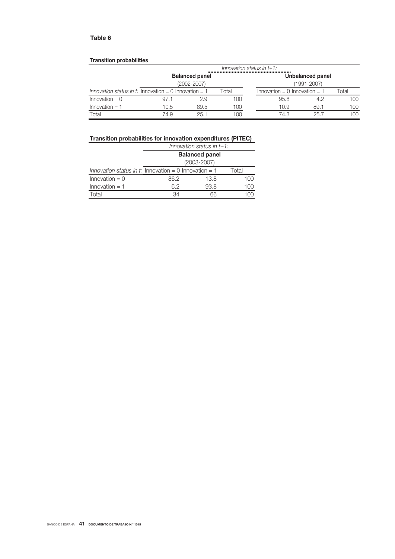## **Transition probabilities**

|                                                       | Innovation status in $t+1$ : |      |       |  |                               |      |       |  |
|-------------------------------------------------------|------------------------------|------|-------|--|-------------------------------|------|-------|--|
|                                                       | <b>Balanced panel</b>        |      |       |  | Unbalanced panel              |      |       |  |
|                                                       | (2002-2007)                  |      |       |  | (1991-2007)                   |      |       |  |
| Innovation status in t: Innovation = 0 Innovation = 1 |                              |      | Гоtal |  | Innovation = 0 Innovation = 1 |      | Total |  |
| $Inovation = 0$                                       | 97.1                         | 2.9  | 100   |  | 95.8                          | 4.2  | 100   |  |
| $Inovation = 1$                                       | 10.5                         | 89.5 | 100   |  | 10.9                          | 89.1 | 100   |  |
| Total                                                 | 74.9                         | 25.1 | l Na  |  | 74.3                          | 25.7 | 100   |  |

## **Transition probabilities for innovation expenditures (PITEC)**

|                                                              | Innovation status in $t+1$ : |                       |       |  |  |  |  |
|--------------------------------------------------------------|------------------------------|-----------------------|-------|--|--|--|--|
|                                                              |                              | <b>Balanced panel</b> |       |  |  |  |  |
|                                                              |                              | (2003-2007)           |       |  |  |  |  |
| <i>Innovation status in t:</i> Innovation = 0 Innovation = 1 |                              |                       | Total |  |  |  |  |
| $Inrovation = 0$                                             | 86.2                         | 13.8                  | 100   |  |  |  |  |
| $Inovation = 1$                                              | 6.2                          | 93.8                  | 100   |  |  |  |  |
| Total                                                        | 34                           | 66                    |       |  |  |  |  |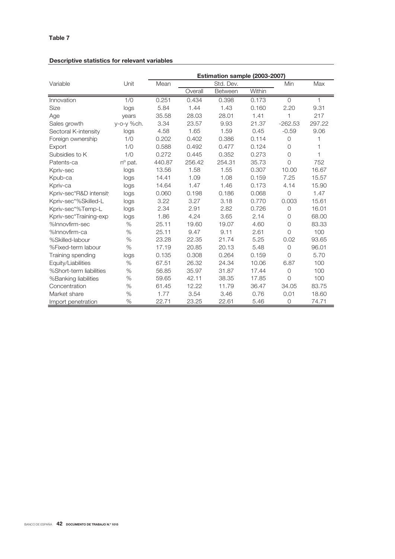|                         |            | Estimation sample (2003-2007) |         |           |        |                |        |
|-------------------------|------------|-------------------------------|---------|-----------|--------|----------------|--------|
| Variable                | Unit       | Mean                          |         | Std. Dev. | Min    | Max            |        |
|                         |            |                               | Overall | Between   | Within |                |        |
| Innovation              | 1/0        | 0.251                         | 0.434   | 0.398     | 0.173  | $\Omega$       |        |
| Size                    | logs       | 5.84                          | 1.44    | 1.43      | 0.160  | 2.20           | 9.31   |
| Age                     | years      | 35.58                         | 28.03   | 28.01     | 1.41   | 1              | 217    |
| Sales growth            | y-o-y %ch. | 3.34                          | 23.57   | 9.93      | 21.37  | $-262.53$      | 297.22 |
| Sectoral K-intensity    | logs       | 4.58                          | 1.65    | 1.59      | 0.45   | $-0.59$        | 9.06   |
| Foreign ownership       | 1/0        | 0.202                         | 0.402   | 0.386     | 0.114  | 0              | 1      |
| Export                  | 1/0        | 0.588                         | 0.492   | 0.477     | 0.124  | 0              | 1      |
| Subsidies to K          | 1/0        | 0.272                         | 0.445   | 0.352     | 0.273  | $\Omega$       | 1      |
| Patents-ca              | nº pat.    | 440.87                        | 256.42  | 254.31    | 35.73  | $\Omega$       | 752    |
| Kpriv-sec               | logs       | 13.56                         | 1.58    | 1.55      | 0.307  | 10.00          | 16.67  |
| Kpub-ca                 | logs       | 14.41                         | 1.09    | 1.08      | 0.159  | 7.25           | 15.57  |
| Kpriv-ca                | logs       | 14.64                         | 1.47    | 1.46      | 0.173  | 4.14           | 15.90  |
| Kpriv-sec*R&D intensit  | logs       | 0.060                         | 0.198   | 0.186     | 0.068  | $\Omega$       | 1.47   |
| Kpriv-sec*%Skilled-L    | logs       | 3.22                          | 3.27    | 3.18      | 0.770  | 0.003          | 15.61  |
| Kpriv-sec*%Temp-L       | logs       | 2.34                          | 2.91    | 2.82      | 0.726  | 0              | 16.01  |
| Kpriv-sec*Training-exp  | logs       | 1.86                          | 4.24    | 3.65      | 2.14   | $\Omega$       | 68.00  |
| %Innovfirm-sec          | $\%$       | 25.11                         | 19.60   | 19.07     | 4.60   | $\Omega$       | 83.33  |
| %Innovfirm-ca           | $\%$       | 25.11                         | 9.47    | 9.11      | 2.61   | $\Omega$       | 100    |
| %Skilled-labour         | $\%$       | 23.28                         | 22.35   | 21.74     | 5.25   | 0.02           | 93.65  |
| %Fixed-term labour      | $\%$       | 17.19                         | 20.85   | 20.13     | 5.48   | $\overline{O}$ | 96.01  |
| Training spending       | logs       | 0.135                         | 0.308   | 0.264     | 0.159  | $\Omega$       | 5.70   |
| Equity/Liabilities      | $\%$       | 67.51                         | 26.32   | 24.34     | 10.06  | 6.87           | 100    |
| %Short-term liabilities | $\%$       | 56.85                         | 35.97   | 31.87     | 17.44  | $\Omega$       | 100    |
| %Banking liabilities    | $\%$       | 59.65                         | 42.11   | 38.35     | 17.85  | 0              | 100    |
| Concentration           | $\%$       | 61.45                         | 12.22   | 11.79     | 36.47  | 34.05          | 83.75  |
| Market share            | $\%$       | 1.77                          | 3.54    | 3.46      | 0.76   | 0.01           | 18.60  |
| Import penetration      | $\%$       | 22.71                         | 23.25   | 22.61     | 5.46   | 0              | 74.71  |

## **Descriptive statistics for relevant variables**

## **Table 7**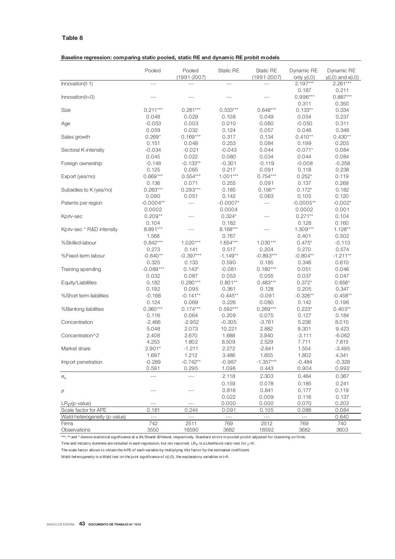## **Baseline regression: comparing static pooled, static RE and dynamic RE probit models**

|                                | Pooled              | Pooled<br>$(1991 - 2007)$ | Static RE            | <b>Static RE</b><br>$(1991 - 2007)$ | Dynamic RE<br>only $y(i,0)$  | Dynamic RE<br>$y(i,0)$ and $x(i,0)$ |
|--------------------------------|---------------------|---------------------------|----------------------|-------------------------------------|------------------------------|-------------------------------------|
| Innovation(t-1)                | $---$               | $\overline{a}$            | $\sim$ $\sim$ $\sim$ | $---$                               | $2.197***$                   | 2.261***                            |
| $Inovation(t=0)$               | ---                 | $---$                     | $- - -$              | ---                                 | 0.187<br>$0.996***$<br>0.311 | 0.211<br>$0.887***$<br>0.350        |
| Size                           | $0.211***$          | $0.281***$                | $0.533***$           | $0.648***$                          | $0.133**$                    | 0.334                               |
|                                | 0.048               | 0.029                     | 0.108                | 0.049                               | 0.054                        | 0.237                               |
| Age                            | $-0.053$            | 0.003                     | 0.010                | 0.060                               | $-0.050$                     | 0.311                               |
|                                | 0.059               | 0.032                     | 0.124                | 0.057                               | 0.048                        | 0.348                               |
| Sales growth                   | $0.269*$            | $0.169***$                | 0.317                | 0.134                               | $0.410**$                    | $0.430**$                           |
|                                | 0.151               | 0.048                     | 0.253                | 0.084                               | 0.199                        | 0.205                               |
| Sectoral K-intensity           | $-0.034$            | $-0.021$                  | $-0.043$             | 0.044                               | $-0.071*$                    | 0.084                               |
|                                | 0.045               | 0.022                     | 0.080                | 0.034                               | 0.044                        | 0.084                               |
| Foreign ownership              | $-0.148$            | $-0.133**$                | $-0.301$             | $-0.119$                            | $-0.008$                     | $-0.258$                            |
|                                | 0.125               | 0.065                     | 0.217                | 0.091                               | 0.118                        | 0.238                               |
| Export (yes/no)                | $0.669***$          | $0.554***$                | $1.001***$           | $0.754***$                          | $0.252*$                     | 0.119                               |
|                                | 0.136               | 0.071                     | 0.255                | 0.091                               | 0.137                        | 0.269                               |
| Subsidies to K (yes/no)        | $0.263***$          | $0.293***$                | 0.185                | $0.156**$                           | $0.172*$                     | 0.182                               |
|                                | 0.090               | 0.051                     | 0.142                | 0.063                               | 0.105                        | 0.120                               |
| Patents per region             | $-0.0004**$         | $---$                     | $-0.0007*$           | $---$                               | $-0.0005**$                  | $-0.002*$                           |
|                                | 0.0002              |                           | 0.0004               |                                     | 0.0002                       | 0.001                               |
| Kpriv-sec                      | $0.209**$           | $---$                     | $0.324*$             | $---$                               | $0.271**$                    | 0.104                               |
|                                | 0.104               |                           | 0.182                |                                     | 0.128                        | 0.160                               |
| Kpriv-sec * R&D intensity      | 8.891***            | $---$                     | 8.168***             | ---                                 | $1.309***$                   | $1.128**$                           |
|                                | 1.568               |                           | 0.767                |                                     | 0.401                        | 0.502                               |
| %Skilled-labour                | $0.842***$<br>0.273 | $1.020***$<br>0.141       | 1.654***<br>0.517    | $1.030***$<br>0.204                 | $0.475*$<br>0.270            | $-0.113$<br>0.574                   |
| %Fixed-term labour             | $-0.640**$          | $-0.397***$               | $-1.149**$           | $-0.893***$                         | $-0.804**$                   | $-1.211**$                          |
|                                | 0.325               | 0.133                     | 0.590                | 0.185                               | 0.346                        | 0.610                               |
| Training spending              | $-0.089***$         | $0.143*$                  | $-0.081$             | $0.180***$                          | 0.051                        | 0.046                               |
|                                | 0.032               | 0.087                     | 0.053                | 0.055                               | 0.037                        | 0.047                               |
| Equity/Liabilities             | 0.182               | $0.280***$                | $0.801**$            | $0.483***$                          | $0.372*$                     | $0.656*$                            |
|                                | 0.192               | 0.095                     | 0.361                | 0.128                               | 0.205                        | 0.347                               |
| %Short term liabilities        | $-0.168$            | $-0.141**$                | $-0.445**$           | $-0.091$                            | $-0.326**$                   | $-0.458**$                          |
|                                | 0.124               | 0.069                     | 0.226                | 0.080                               | 0.142                        | 0.196                               |
| %Banking liabilities           | $0.360***$          | $0.174***$                | $0.592***$           | $0.269***$                          | $0.223*$                     | $0.403**$                           |
|                                | 0.116               | 0.064                     | 0.209                | 0.075                               | 0.127                        | 0.184                               |
| Concentration                  | $-2.466$            | $-2.952$                  | $-0.305$             | $-3.761$                            | 5.238                        | 8.010                               |
|                                | 5.048               | 2.073                     | 10.221               | 2.882                               | 9.301                        | 9.423                               |
| Concentration^2                | 2.408               | 2.670                     | 1.688                | 3.940                               | $-3.111$                     | $-6.062$                            |
|                                | 4.253               | 1.802                     | 8.509                | 2.529                               | 7.711                        | 7.815                               |
| Market share                   | $2.901*$            | $-1.211$                  | 2.272                | $-2.641$                            | 1.554                        | $-3.495$                            |
|                                | 1.697               | 1.212                     | 3.486                | 1.655                               | 1.802                        | 4.341                               |
| Import penetration             | -0.289              | $-0.742**$                | -0.987               | $-1.357***$                         | -0.484                       | $-0.328$                            |
|                                | 0.591               | 0.295                     | 1.096                | 0.443                               | 0.904                        | 0.992                               |
| $\sigma_{\eta}$                | $\overline{a}$      | $\overline{a}$            | 2.118                | 2.303                               | 0.464                        | 0.367                               |
|                                |                     |                           | 0.159                | 0.078                               | 0.185                        | 0.241                               |
| $\rho$                         | $---$               | ---                       | 0.818                | 0.841                               | 0.177                        | 0.119                               |
|                                |                     |                           | 0.022                | 0.009                               | 0.116                        | 0.137                               |
| $LR$ <sub>p</sub> $(p$ -value) | $---$               | $---$                     | 0.000                | 0.000                               | 0.070                        | 0.202                               |
| Scale factor for APE           | 0.181               | 0.244                     | 0.091                | 0.105                               | 0.086                        | 0.084                               |
| Wald-heterogeneity (p-value)   | $\overline{a}$      | $\overline{a}$            | $- - -$              | $\overline{a}$                      | $\overline{a}$               | 0.640                               |
| Firms                          | 742                 | 2511                      | 769                  | 2512                                | 769                          | 740                                 |
| Observations                   | 3550                | 16590                     | 3682                 | 16592                               | 3682                         | 3603                                |

\*\*\*, \*\* and \* denote statistical significance at a 1% 5% and 10% level, respectively. Standard errors in pooled probit adjusted for clustering on firms.

Time and industry dummies are included in each regression, but not reported. LR<sub>p</sub> is a Likelihood-ratio test for  $p=0$ .

The scale factor allows to obtain the APE of each variable by multiplying this factor by the estimated coefficient.

Wald-heterogeneity is a Wald test on the joint significance of  $x(i,0)$ , the explanatory variables in t=0.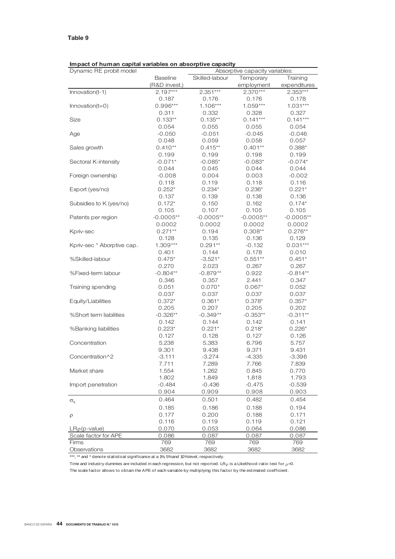| Impact of human capital variables on absorptive capacity |  |
|----------------------------------------------------------|--|
|----------------------------------------------------------|--|

| Dynamic RE probit model    |                   | Absorptive capacity variables: |                   |                   |  |  |
|----------------------------|-------------------|--------------------------------|-------------------|-------------------|--|--|
|                            | <b>Baseline</b>   | Skilled-labour                 | Temporary         | Training          |  |  |
|                            | (R&D invest.)     |                                | employment        | expenditures      |  |  |
| $Innovation(t-1)$          | $2.197***$        | $2.351***$                     | $2.370***$        | $2.353***$        |  |  |
|                            | 0.187             | 0.176                          | 0.176             | 0.178             |  |  |
| $In novation(t=0)$         | $0.996***$        | $1.106***$                     | $1.059***$        | $1.031***$        |  |  |
|                            | 0.311             | 0.332                          | 0.328             | 0.327             |  |  |
| Size                       | $0.133**$         | $0.135**$                      | $0.141***$        | $0.141***$        |  |  |
|                            | 0.054             | 0.055                          | 0.055             | 0.054             |  |  |
| Age                        | $-0.050$          | $-0.051$                       | $-0.045$          | $-0.046$          |  |  |
|                            | 0.048             | 0.059                          | 0.058             | 0.057             |  |  |
| Sales growth               | $0.410**$         | $0.415**$                      | $0.401**$         | $0.388*$          |  |  |
|                            | 0.199             | 0.199                          | 0.198             | 0.199             |  |  |
| Sectoral K-intensity       | $-0.071*$         | $-0.085*$                      | $-0.083*$         | $-0.074*$         |  |  |
|                            | 0.044             | 0.045                          | 0.044             | 0.044             |  |  |
| Foreign ownership          | $-0.008$          | 0.004                          | 0.003             | $-0.002$          |  |  |
|                            | 0.118             | 0.119                          | 0.118             | 0.116             |  |  |
| Export (yes/no)            | $0.252*$          | $0.234*$                       | $0.236*$          | $0.221*$          |  |  |
|                            | 0.137             | 0.139                          | 0.138             | 0.136             |  |  |
| Subsidies to K (yes/no)    | $0.172*$          | 0.150                          | 0.162             | $0.174*$          |  |  |
|                            | 0.105             | 0.107                          | 0.105             | 0.105             |  |  |
| Patents per region         | $-0.0005**$       | $-0.0005**$                    | $-0.0005**$       | $-0.0005**$       |  |  |
|                            | 0.0002            | 0.0002                         | 0.0002            | 0.0002            |  |  |
| Kpriv-sec                  | $0.271***$        | 0.194                          | $0.308**$         | $0.276**$         |  |  |
|                            | 0.128             | 0.135                          | 0.136             | 0.129             |  |  |
| Kpriv-sec * Aborptive cap. | $1.309***$        | $0.291**$                      | $-0.132$          | $0.031***$        |  |  |
|                            | 0.401             | 0.144                          | 0.178             | 0.010             |  |  |
| %Skilled-labour            | $0.475*$          | $-3.521*$                      | $0.551**$         | $0.451*$          |  |  |
|                            | 0.270             | 2.023                          | 0.267             | 0.267             |  |  |
| %Fixed-term labour         | $-0.804**$        | $-0.879**$                     | 0.922             | $-0.814**$        |  |  |
|                            | 0.346             | 0.357                          | 2.441             | 0.347             |  |  |
| Training spending          | 0.051             | $0.070*$                       | $0.067*$          | 0.052             |  |  |
|                            | 0.037             | 0.037                          | 0.037             | 0.037             |  |  |
| Equity/Liabilities         | $0.372*$          | $0.361*$                       | $0.378*$          | $0.357*$          |  |  |
| %Short term liabilities    | 0.205             | 0.207<br>$-0.349**$            | 0.205             | 0.202             |  |  |
|                            | $-0.326**$        |                                | $-0.353**$        | $-0.311**$        |  |  |
|                            | 0.142<br>$0.223*$ | 0.144<br>$0.221*$              | 0.142<br>$0.218*$ | 0.141<br>$0.226*$ |  |  |
| %Banking liabilities       | 0.127             | 0.128                          | 0.127             | 0.126             |  |  |
| Concentration              | 5.238             | 5.383                          | 6.796             | 5.757             |  |  |
|                            | 9.301             | 9.438                          | 9.371             | 9.431             |  |  |
| Concentration^2            | $-3.111$          | $-3.274$                       | $-4.335$          | $-3.396$          |  |  |
|                            | 7.711             | 7.289                          | 7.766             | 7.839             |  |  |
| Market share               | 1.554             | 1.262                          | 0.845             | 0.770             |  |  |
|                            | 1.802             | 1.849                          | 1.818             | 1.793             |  |  |
| Import penetration         | $-0.484$          | $-0.436$                       | $-0.475$          | $-0.539$          |  |  |
|                            | 0.904             | 0.909                          | 0.908             | 0.903             |  |  |
|                            | 0.464             | 0.501                          | 0.482             | 0.454             |  |  |
| $\sigma_{\eta}$            |                   |                                |                   |                   |  |  |
|                            | 0.185<br>0.177    | 0.186<br>0.200                 | 0.188<br>0.188    | 0.194<br>0.171    |  |  |
| ρ                          | 0.116             | 0.119                          | 0.119             | 0.121             |  |  |
| $LR\rho(p$ -value)         | 0.070             | 0.053                          | 0.064             | 0.086             |  |  |
| Scale factor for APE       | 0.086             | 0.087                          | 0.087             | 0.087             |  |  |
| Firms                      | 769               | 769                            | 769               | 769               |  |  |
| Observations               | 3682              | 3682                           | 3682              | 3682              |  |  |

\*\*\*, \*\* and \* denote statistical significance at a 1% 5% and 10% level, respectively.

Time and industry dummies are included in each regression, but not reported. LR<sub>p</sub> is a Likelihood-ratio test for  $\rho$ =0.

The scale factor allows to obtain the APE of each variable by multiplying this factor by the estimated coefficient.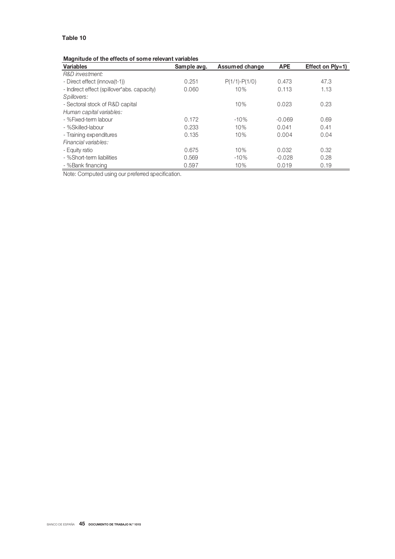## **Magnitude of the effects of some relevant variables**

| <b>Variables</b>                            | Sample avg. | Assumed change  | <b>APE</b> | Effect on $P(y=1)$ |
|---------------------------------------------|-------------|-----------------|------------|--------------------|
| R&D investment:                             |             |                 |            |                    |
| - Direct effect (innova(t-1))               | 0.251       | $P(1/1)-P(1/0)$ | 0.473      | 47.3               |
| - Indirect effect (spillover*abs. capacity) | 0.060       | 10%             | 0.113      | 1.13               |
| Spillovers:                                 |             |                 |            |                    |
| - Sectoral stock of R&D capital             |             | 10%             | 0.023      | 0.23               |
| Human capital variables:                    |             |                 |            |                    |
| - %Fixed-term labour                        | 0.172       | $-10%$          | $-0.069$   | 0.69               |
| - %Skilled-labour                           | 0.233       | 10%             | 0.041      | 0.41               |
| - Training expenditures                     | 0.135       | 10%             | 0.004      | 0.04               |
| Financial variables:                        |             |                 |            |                    |
| - Equity ratio                              | 0.675       | 10%             | 0.032      | 0.32               |
| - %Short-term liabilities                   | 0.569       | $-10%$          | $-0.028$   | 0.28               |
| - %Bank financing                           | 0.597       | 10%             | 0.019      | 0.19               |

Note: Computed using our preferred specification.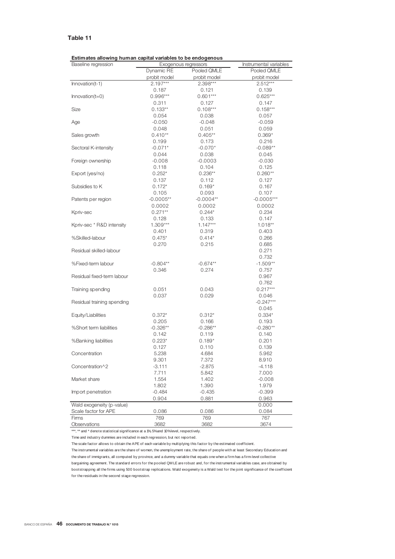**Estimates allowing human capital variables to be endogenous**

| Pooled QMLE<br>Dynamic RE<br>Pooled QMLE<br>probit model<br>probit model<br>probit model<br>$2.197***$<br>2.398***<br>$2.512***$<br>Innovation(t-1)<br>0.187<br>0.121<br>0.139<br>$Inovation(t=0)$<br>$0.996***$<br>$0.601***$<br>$0.625***$<br>0.311<br>0.127<br>0.147<br>$0.108***$<br>Size<br>$0.133**$<br>$0.158***$<br>0.054<br>0.038<br>0.057<br>$-0.050$<br>$-0.048$<br>$-0.059$<br>Age<br>0.048<br>0.051<br>0.059<br>Sales growth<br>$0.410**$<br>$0.405**$<br>$0.369*$<br>0.216<br>0.199<br>0.173<br>Sectoral K-intensity<br>$-0.071*$<br>$-0.070*$<br>$-0.089**$<br>0.038<br>0.044<br>0.045<br>Foreign ownership<br>$-0.0003$<br>$-0.008$<br>$-0.030$<br>0.104<br>0.125<br>0.118<br>$0.236**$<br>$0.260**$<br>Export (yes/no)<br>$0.252*$<br>0.137<br>0.112<br>0.127<br>Subsidies to K<br>$0.172*$<br>$0.169*$<br>0.167<br>0.105<br>0.093<br>0.107<br>$-0.0005**$<br>$-0.0004**$<br>$-0.0005***$<br>Patents per region<br>0.0002<br>0.0002<br>0.0002<br>Kpriv-sec<br>$0.271***$<br>$0.244*$<br>0.234<br>0.147<br>0.128<br>0.133<br>$1.147***$<br>Kpriv-sec * R&D intensity<br>$1.309***$<br>$1.018**$<br>0.401<br>0.319<br>0.403<br>%Skilled-labour<br>$0.475*$<br>$0.414*$<br>0.266<br>0.270<br>0.215<br>0.685<br>Residual skilled-labour<br>0.271<br>0.732<br>%Fixed-term labour<br>$-0.804**$<br>$-0.674**$<br>$-1.509**$<br>0.346<br>0.274<br>0.757<br>Residual fixed-term labour<br>0.967<br>0.762<br>$0.217***$<br>0.043<br>Training spending<br>0.051<br>0.037<br>0.029<br>0.046<br>$-0.247***$<br>Residual training spending<br>0.045<br>$0.372*$<br>$0.334*$<br>Equity/Liabilities<br>$0.312*$<br>0.205<br>0.166<br>0.193<br>%Short term liabilities<br>$-0.326**$<br>$-0.286**$<br>$-0.280**$<br>0.142<br>0.119<br>0.140<br>%Banking liabilities<br>$0.223*$<br>$0.189*$<br>0.201<br>0.127<br>0.110<br>0.139<br>Concentration<br>5.238<br>4.684<br>5.962<br>9.301<br>7.372<br>8.910<br>Concentration^2<br>$-3.111$<br>$-2.875$<br>-4.118<br>7.711<br>5.842<br>7.000<br>Market share<br>1.554<br>1.402<br>$-0.008$<br>1.802<br>1.390<br>1.979<br>Import penetration<br>$-0.484$<br>$-0.435$<br>$-0.399$<br>0.904<br>0.963<br>0.881<br>Wald exogeneity (p-value)<br>0.000<br>Scale factor for APE<br>0.086<br>0.086<br>0.084<br>Firms<br>769<br>769<br>767<br>Observations<br>3682<br>3682<br>3674 | Baseline regression | Exogenous regressors |  | Instrumental variables |
|----------------------------------------------------------------------------------------------------------------------------------------------------------------------------------------------------------------------------------------------------------------------------------------------------------------------------------------------------------------------------------------------------------------------------------------------------------------------------------------------------------------------------------------------------------------------------------------------------------------------------------------------------------------------------------------------------------------------------------------------------------------------------------------------------------------------------------------------------------------------------------------------------------------------------------------------------------------------------------------------------------------------------------------------------------------------------------------------------------------------------------------------------------------------------------------------------------------------------------------------------------------------------------------------------------------------------------------------------------------------------------------------------------------------------------------------------------------------------------------------------------------------------------------------------------------------------------------------------------------------------------------------------------------------------------------------------------------------------------------------------------------------------------------------------------------------------------------------------------------------------------------------------------------------------------------------------------------------------------------------------------------------------------------------------------------------------------------------------------------------------------------------------------------------------------------------------------------------------------------------------------------------------------------------------------------------|---------------------|----------------------|--|------------------------|
|                                                                                                                                                                                                                                                                                                                                                                                                                                                                                                                                                                                                                                                                                                                                                                                                                                                                                                                                                                                                                                                                                                                                                                                                                                                                                                                                                                                                                                                                                                                                                                                                                                                                                                                                                                                                                                                                                                                                                                                                                                                                                                                                                                                                                                                                                                                      |                     |                      |  |                        |
|                                                                                                                                                                                                                                                                                                                                                                                                                                                                                                                                                                                                                                                                                                                                                                                                                                                                                                                                                                                                                                                                                                                                                                                                                                                                                                                                                                                                                                                                                                                                                                                                                                                                                                                                                                                                                                                                                                                                                                                                                                                                                                                                                                                                                                                                                                                      |                     |                      |  |                        |
|                                                                                                                                                                                                                                                                                                                                                                                                                                                                                                                                                                                                                                                                                                                                                                                                                                                                                                                                                                                                                                                                                                                                                                                                                                                                                                                                                                                                                                                                                                                                                                                                                                                                                                                                                                                                                                                                                                                                                                                                                                                                                                                                                                                                                                                                                                                      |                     |                      |  |                        |
|                                                                                                                                                                                                                                                                                                                                                                                                                                                                                                                                                                                                                                                                                                                                                                                                                                                                                                                                                                                                                                                                                                                                                                                                                                                                                                                                                                                                                                                                                                                                                                                                                                                                                                                                                                                                                                                                                                                                                                                                                                                                                                                                                                                                                                                                                                                      |                     |                      |  |                        |
|                                                                                                                                                                                                                                                                                                                                                                                                                                                                                                                                                                                                                                                                                                                                                                                                                                                                                                                                                                                                                                                                                                                                                                                                                                                                                                                                                                                                                                                                                                                                                                                                                                                                                                                                                                                                                                                                                                                                                                                                                                                                                                                                                                                                                                                                                                                      |                     |                      |  |                        |
|                                                                                                                                                                                                                                                                                                                                                                                                                                                                                                                                                                                                                                                                                                                                                                                                                                                                                                                                                                                                                                                                                                                                                                                                                                                                                                                                                                                                                                                                                                                                                                                                                                                                                                                                                                                                                                                                                                                                                                                                                                                                                                                                                                                                                                                                                                                      |                     |                      |  |                        |
|                                                                                                                                                                                                                                                                                                                                                                                                                                                                                                                                                                                                                                                                                                                                                                                                                                                                                                                                                                                                                                                                                                                                                                                                                                                                                                                                                                                                                                                                                                                                                                                                                                                                                                                                                                                                                                                                                                                                                                                                                                                                                                                                                                                                                                                                                                                      |                     |                      |  |                        |
|                                                                                                                                                                                                                                                                                                                                                                                                                                                                                                                                                                                                                                                                                                                                                                                                                                                                                                                                                                                                                                                                                                                                                                                                                                                                                                                                                                                                                                                                                                                                                                                                                                                                                                                                                                                                                                                                                                                                                                                                                                                                                                                                                                                                                                                                                                                      |                     |                      |  |                        |
|                                                                                                                                                                                                                                                                                                                                                                                                                                                                                                                                                                                                                                                                                                                                                                                                                                                                                                                                                                                                                                                                                                                                                                                                                                                                                                                                                                                                                                                                                                                                                                                                                                                                                                                                                                                                                                                                                                                                                                                                                                                                                                                                                                                                                                                                                                                      |                     |                      |  |                        |
|                                                                                                                                                                                                                                                                                                                                                                                                                                                                                                                                                                                                                                                                                                                                                                                                                                                                                                                                                                                                                                                                                                                                                                                                                                                                                                                                                                                                                                                                                                                                                                                                                                                                                                                                                                                                                                                                                                                                                                                                                                                                                                                                                                                                                                                                                                                      |                     |                      |  |                        |
|                                                                                                                                                                                                                                                                                                                                                                                                                                                                                                                                                                                                                                                                                                                                                                                                                                                                                                                                                                                                                                                                                                                                                                                                                                                                                                                                                                                                                                                                                                                                                                                                                                                                                                                                                                                                                                                                                                                                                                                                                                                                                                                                                                                                                                                                                                                      |                     |                      |  |                        |
|                                                                                                                                                                                                                                                                                                                                                                                                                                                                                                                                                                                                                                                                                                                                                                                                                                                                                                                                                                                                                                                                                                                                                                                                                                                                                                                                                                                                                                                                                                                                                                                                                                                                                                                                                                                                                                                                                                                                                                                                                                                                                                                                                                                                                                                                                                                      |                     |                      |  |                        |
|                                                                                                                                                                                                                                                                                                                                                                                                                                                                                                                                                                                                                                                                                                                                                                                                                                                                                                                                                                                                                                                                                                                                                                                                                                                                                                                                                                                                                                                                                                                                                                                                                                                                                                                                                                                                                                                                                                                                                                                                                                                                                                                                                                                                                                                                                                                      |                     |                      |  |                        |
|                                                                                                                                                                                                                                                                                                                                                                                                                                                                                                                                                                                                                                                                                                                                                                                                                                                                                                                                                                                                                                                                                                                                                                                                                                                                                                                                                                                                                                                                                                                                                                                                                                                                                                                                                                                                                                                                                                                                                                                                                                                                                                                                                                                                                                                                                                                      |                     |                      |  |                        |
|                                                                                                                                                                                                                                                                                                                                                                                                                                                                                                                                                                                                                                                                                                                                                                                                                                                                                                                                                                                                                                                                                                                                                                                                                                                                                                                                                                                                                                                                                                                                                                                                                                                                                                                                                                                                                                                                                                                                                                                                                                                                                                                                                                                                                                                                                                                      |                     |                      |  |                        |
|                                                                                                                                                                                                                                                                                                                                                                                                                                                                                                                                                                                                                                                                                                                                                                                                                                                                                                                                                                                                                                                                                                                                                                                                                                                                                                                                                                                                                                                                                                                                                                                                                                                                                                                                                                                                                                                                                                                                                                                                                                                                                                                                                                                                                                                                                                                      |                     |                      |  |                        |
|                                                                                                                                                                                                                                                                                                                                                                                                                                                                                                                                                                                                                                                                                                                                                                                                                                                                                                                                                                                                                                                                                                                                                                                                                                                                                                                                                                                                                                                                                                                                                                                                                                                                                                                                                                                                                                                                                                                                                                                                                                                                                                                                                                                                                                                                                                                      |                     |                      |  |                        |
|                                                                                                                                                                                                                                                                                                                                                                                                                                                                                                                                                                                                                                                                                                                                                                                                                                                                                                                                                                                                                                                                                                                                                                                                                                                                                                                                                                                                                                                                                                                                                                                                                                                                                                                                                                                                                                                                                                                                                                                                                                                                                                                                                                                                                                                                                                                      |                     |                      |  |                        |
|                                                                                                                                                                                                                                                                                                                                                                                                                                                                                                                                                                                                                                                                                                                                                                                                                                                                                                                                                                                                                                                                                                                                                                                                                                                                                                                                                                                                                                                                                                                                                                                                                                                                                                                                                                                                                                                                                                                                                                                                                                                                                                                                                                                                                                                                                                                      |                     |                      |  |                        |
|                                                                                                                                                                                                                                                                                                                                                                                                                                                                                                                                                                                                                                                                                                                                                                                                                                                                                                                                                                                                                                                                                                                                                                                                                                                                                                                                                                                                                                                                                                                                                                                                                                                                                                                                                                                                                                                                                                                                                                                                                                                                                                                                                                                                                                                                                                                      |                     |                      |  |                        |
|                                                                                                                                                                                                                                                                                                                                                                                                                                                                                                                                                                                                                                                                                                                                                                                                                                                                                                                                                                                                                                                                                                                                                                                                                                                                                                                                                                                                                                                                                                                                                                                                                                                                                                                                                                                                                                                                                                                                                                                                                                                                                                                                                                                                                                                                                                                      |                     |                      |  |                        |
|                                                                                                                                                                                                                                                                                                                                                                                                                                                                                                                                                                                                                                                                                                                                                                                                                                                                                                                                                                                                                                                                                                                                                                                                                                                                                                                                                                                                                                                                                                                                                                                                                                                                                                                                                                                                                                                                                                                                                                                                                                                                                                                                                                                                                                                                                                                      |                     |                      |  |                        |
|                                                                                                                                                                                                                                                                                                                                                                                                                                                                                                                                                                                                                                                                                                                                                                                                                                                                                                                                                                                                                                                                                                                                                                                                                                                                                                                                                                                                                                                                                                                                                                                                                                                                                                                                                                                                                                                                                                                                                                                                                                                                                                                                                                                                                                                                                                                      |                     |                      |  |                        |
|                                                                                                                                                                                                                                                                                                                                                                                                                                                                                                                                                                                                                                                                                                                                                                                                                                                                                                                                                                                                                                                                                                                                                                                                                                                                                                                                                                                                                                                                                                                                                                                                                                                                                                                                                                                                                                                                                                                                                                                                                                                                                                                                                                                                                                                                                                                      |                     |                      |  |                        |
|                                                                                                                                                                                                                                                                                                                                                                                                                                                                                                                                                                                                                                                                                                                                                                                                                                                                                                                                                                                                                                                                                                                                                                                                                                                                                                                                                                                                                                                                                                                                                                                                                                                                                                                                                                                                                                                                                                                                                                                                                                                                                                                                                                                                                                                                                                                      |                     |                      |  |                        |
|                                                                                                                                                                                                                                                                                                                                                                                                                                                                                                                                                                                                                                                                                                                                                                                                                                                                                                                                                                                                                                                                                                                                                                                                                                                                                                                                                                                                                                                                                                                                                                                                                                                                                                                                                                                                                                                                                                                                                                                                                                                                                                                                                                                                                                                                                                                      |                     |                      |  |                        |
|                                                                                                                                                                                                                                                                                                                                                                                                                                                                                                                                                                                                                                                                                                                                                                                                                                                                                                                                                                                                                                                                                                                                                                                                                                                                                                                                                                                                                                                                                                                                                                                                                                                                                                                                                                                                                                                                                                                                                                                                                                                                                                                                                                                                                                                                                                                      |                     |                      |  |                        |
|                                                                                                                                                                                                                                                                                                                                                                                                                                                                                                                                                                                                                                                                                                                                                                                                                                                                                                                                                                                                                                                                                                                                                                                                                                                                                                                                                                                                                                                                                                                                                                                                                                                                                                                                                                                                                                                                                                                                                                                                                                                                                                                                                                                                                                                                                                                      |                     |                      |  |                        |
|                                                                                                                                                                                                                                                                                                                                                                                                                                                                                                                                                                                                                                                                                                                                                                                                                                                                                                                                                                                                                                                                                                                                                                                                                                                                                                                                                                                                                                                                                                                                                                                                                                                                                                                                                                                                                                                                                                                                                                                                                                                                                                                                                                                                                                                                                                                      |                     |                      |  |                        |
|                                                                                                                                                                                                                                                                                                                                                                                                                                                                                                                                                                                                                                                                                                                                                                                                                                                                                                                                                                                                                                                                                                                                                                                                                                                                                                                                                                                                                                                                                                                                                                                                                                                                                                                                                                                                                                                                                                                                                                                                                                                                                                                                                                                                                                                                                                                      |                     |                      |  |                        |
|                                                                                                                                                                                                                                                                                                                                                                                                                                                                                                                                                                                                                                                                                                                                                                                                                                                                                                                                                                                                                                                                                                                                                                                                                                                                                                                                                                                                                                                                                                                                                                                                                                                                                                                                                                                                                                                                                                                                                                                                                                                                                                                                                                                                                                                                                                                      |                     |                      |  |                        |
|                                                                                                                                                                                                                                                                                                                                                                                                                                                                                                                                                                                                                                                                                                                                                                                                                                                                                                                                                                                                                                                                                                                                                                                                                                                                                                                                                                                                                                                                                                                                                                                                                                                                                                                                                                                                                                                                                                                                                                                                                                                                                                                                                                                                                                                                                                                      |                     |                      |  |                        |
|                                                                                                                                                                                                                                                                                                                                                                                                                                                                                                                                                                                                                                                                                                                                                                                                                                                                                                                                                                                                                                                                                                                                                                                                                                                                                                                                                                                                                                                                                                                                                                                                                                                                                                                                                                                                                                                                                                                                                                                                                                                                                                                                                                                                                                                                                                                      |                     |                      |  |                        |
|                                                                                                                                                                                                                                                                                                                                                                                                                                                                                                                                                                                                                                                                                                                                                                                                                                                                                                                                                                                                                                                                                                                                                                                                                                                                                                                                                                                                                                                                                                                                                                                                                                                                                                                                                                                                                                                                                                                                                                                                                                                                                                                                                                                                                                                                                                                      |                     |                      |  |                        |
|                                                                                                                                                                                                                                                                                                                                                                                                                                                                                                                                                                                                                                                                                                                                                                                                                                                                                                                                                                                                                                                                                                                                                                                                                                                                                                                                                                                                                                                                                                                                                                                                                                                                                                                                                                                                                                                                                                                                                                                                                                                                                                                                                                                                                                                                                                                      |                     |                      |  |                        |
|                                                                                                                                                                                                                                                                                                                                                                                                                                                                                                                                                                                                                                                                                                                                                                                                                                                                                                                                                                                                                                                                                                                                                                                                                                                                                                                                                                                                                                                                                                                                                                                                                                                                                                                                                                                                                                                                                                                                                                                                                                                                                                                                                                                                                                                                                                                      |                     |                      |  |                        |
|                                                                                                                                                                                                                                                                                                                                                                                                                                                                                                                                                                                                                                                                                                                                                                                                                                                                                                                                                                                                                                                                                                                                                                                                                                                                                                                                                                                                                                                                                                                                                                                                                                                                                                                                                                                                                                                                                                                                                                                                                                                                                                                                                                                                                                                                                                                      |                     |                      |  |                        |
|                                                                                                                                                                                                                                                                                                                                                                                                                                                                                                                                                                                                                                                                                                                                                                                                                                                                                                                                                                                                                                                                                                                                                                                                                                                                                                                                                                                                                                                                                                                                                                                                                                                                                                                                                                                                                                                                                                                                                                                                                                                                                                                                                                                                                                                                                                                      |                     |                      |  |                        |
|                                                                                                                                                                                                                                                                                                                                                                                                                                                                                                                                                                                                                                                                                                                                                                                                                                                                                                                                                                                                                                                                                                                                                                                                                                                                                                                                                                                                                                                                                                                                                                                                                                                                                                                                                                                                                                                                                                                                                                                                                                                                                                                                                                                                                                                                                                                      |                     |                      |  |                        |
|                                                                                                                                                                                                                                                                                                                                                                                                                                                                                                                                                                                                                                                                                                                                                                                                                                                                                                                                                                                                                                                                                                                                                                                                                                                                                                                                                                                                                                                                                                                                                                                                                                                                                                                                                                                                                                                                                                                                                                                                                                                                                                                                                                                                                                                                                                                      |                     |                      |  |                        |
|                                                                                                                                                                                                                                                                                                                                                                                                                                                                                                                                                                                                                                                                                                                                                                                                                                                                                                                                                                                                                                                                                                                                                                                                                                                                                                                                                                                                                                                                                                                                                                                                                                                                                                                                                                                                                                                                                                                                                                                                                                                                                                                                                                                                                                                                                                                      |                     |                      |  |                        |
|                                                                                                                                                                                                                                                                                                                                                                                                                                                                                                                                                                                                                                                                                                                                                                                                                                                                                                                                                                                                                                                                                                                                                                                                                                                                                                                                                                                                                                                                                                                                                                                                                                                                                                                                                                                                                                                                                                                                                                                                                                                                                                                                                                                                                                                                                                                      |                     |                      |  |                        |
|                                                                                                                                                                                                                                                                                                                                                                                                                                                                                                                                                                                                                                                                                                                                                                                                                                                                                                                                                                                                                                                                                                                                                                                                                                                                                                                                                                                                                                                                                                                                                                                                                                                                                                                                                                                                                                                                                                                                                                                                                                                                                                                                                                                                                                                                                                                      |                     |                      |  |                        |
|                                                                                                                                                                                                                                                                                                                                                                                                                                                                                                                                                                                                                                                                                                                                                                                                                                                                                                                                                                                                                                                                                                                                                                                                                                                                                                                                                                                                                                                                                                                                                                                                                                                                                                                                                                                                                                                                                                                                                                                                                                                                                                                                                                                                                                                                                                                      |                     |                      |  |                        |
|                                                                                                                                                                                                                                                                                                                                                                                                                                                                                                                                                                                                                                                                                                                                                                                                                                                                                                                                                                                                                                                                                                                                                                                                                                                                                                                                                                                                                                                                                                                                                                                                                                                                                                                                                                                                                                                                                                                                                                                                                                                                                                                                                                                                                                                                                                                      |                     |                      |  |                        |
|                                                                                                                                                                                                                                                                                                                                                                                                                                                                                                                                                                                                                                                                                                                                                                                                                                                                                                                                                                                                                                                                                                                                                                                                                                                                                                                                                                                                                                                                                                                                                                                                                                                                                                                                                                                                                                                                                                                                                                                                                                                                                                                                                                                                                                                                                                                      |                     |                      |  |                        |
|                                                                                                                                                                                                                                                                                                                                                                                                                                                                                                                                                                                                                                                                                                                                                                                                                                                                                                                                                                                                                                                                                                                                                                                                                                                                                                                                                                                                                                                                                                                                                                                                                                                                                                                                                                                                                                                                                                                                                                                                                                                                                                                                                                                                                                                                                                                      |                     |                      |  |                        |
|                                                                                                                                                                                                                                                                                                                                                                                                                                                                                                                                                                                                                                                                                                                                                                                                                                                                                                                                                                                                                                                                                                                                                                                                                                                                                                                                                                                                                                                                                                                                                                                                                                                                                                                                                                                                                                                                                                                                                                                                                                                                                                                                                                                                                                                                                                                      |                     |                      |  |                        |
|                                                                                                                                                                                                                                                                                                                                                                                                                                                                                                                                                                                                                                                                                                                                                                                                                                                                                                                                                                                                                                                                                                                                                                                                                                                                                                                                                                                                                                                                                                                                                                                                                                                                                                                                                                                                                                                                                                                                                                                                                                                                                                                                                                                                                                                                                                                      |                     |                      |  |                        |
|                                                                                                                                                                                                                                                                                                                                                                                                                                                                                                                                                                                                                                                                                                                                                                                                                                                                                                                                                                                                                                                                                                                                                                                                                                                                                                                                                                                                                                                                                                                                                                                                                                                                                                                                                                                                                                                                                                                                                                                                                                                                                                                                                                                                                                                                                                                      |                     |                      |  |                        |
|                                                                                                                                                                                                                                                                                                                                                                                                                                                                                                                                                                                                                                                                                                                                                                                                                                                                                                                                                                                                                                                                                                                                                                                                                                                                                                                                                                                                                                                                                                                                                                                                                                                                                                                                                                                                                                                                                                                                                                                                                                                                                                                                                                                                                                                                                                                      |                     |                      |  |                        |
|                                                                                                                                                                                                                                                                                                                                                                                                                                                                                                                                                                                                                                                                                                                                                                                                                                                                                                                                                                                                                                                                                                                                                                                                                                                                                                                                                                                                                                                                                                                                                                                                                                                                                                                                                                                                                                                                                                                                                                                                                                                                                                                                                                                                                                                                                                                      |                     |                      |  |                        |
|                                                                                                                                                                                                                                                                                                                                                                                                                                                                                                                                                                                                                                                                                                                                                                                                                                                                                                                                                                                                                                                                                                                                                                                                                                                                                                                                                                                                                                                                                                                                                                                                                                                                                                                                                                                                                                                                                                                                                                                                                                                                                                                                                                                                                                                                                                                      |                     |                      |  |                        |
|                                                                                                                                                                                                                                                                                                                                                                                                                                                                                                                                                                                                                                                                                                                                                                                                                                                                                                                                                                                                                                                                                                                                                                                                                                                                                                                                                                                                                                                                                                                                                                                                                                                                                                                                                                                                                                                                                                                                                                                                                                                                                                                                                                                                                                                                                                                      |                     |                      |  |                        |
|                                                                                                                                                                                                                                                                                                                                                                                                                                                                                                                                                                                                                                                                                                                                                                                                                                                                                                                                                                                                                                                                                                                                                                                                                                                                                                                                                                                                                                                                                                                                                                                                                                                                                                                                                                                                                                                                                                                                                                                                                                                                                                                                                                                                                                                                                                                      |                     |                      |  |                        |
|                                                                                                                                                                                                                                                                                                                                                                                                                                                                                                                                                                                                                                                                                                                                                                                                                                                                                                                                                                                                                                                                                                                                                                                                                                                                                                                                                                                                                                                                                                                                                                                                                                                                                                                                                                                                                                                                                                                                                                                                                                                                                                                                                                                                                                                                                                                      |                     |                      |  |                        |

\*\*\*, \*\* and \* denote statistical significance at a 1% 5% and 10% level, respectively.

Time and industry dummies are included in each regression, but not reported.

The scale factor allows to obtain the APE of each variable by multiplying this factor by the estimated coefficient.

The instrumental variables are the share of women, the unemployment rate, the share of people with at least Secondary Education and the share of immigrants, all computed by province, and a dummy variable that equals one when a firm has a firm-level collective bargaining agreement. The standard errors for the pooled QM LE are robust and, for the instrumental variables case, are obtained by

bootstrapping all the firms using 500 bootstrap replications. Wald exogeneity is a Wald test for the joint significance of the coefficient for the residuals in the second stage regression.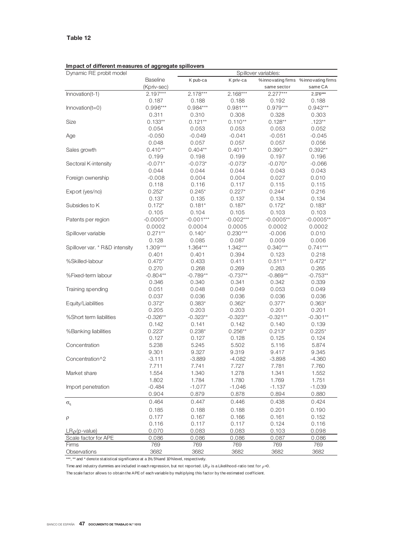### **Impact of different measures of aggregate spillovers**

| Dynamic RE probit model        |                     | Spillover variables: |             |             |                                       |
|--------------------------------|---------------------|----------------------|-------------|-------------|---------------------------------------|
|                                | <b>Baseline</b>     | K pub-ca             | K priv-ca   |             | % innovating firms % innovating firms |
|                                | (Kpriv-sec)         |                      |             | same sector | same CA                               |
| Innovation(t-1)                | $2.197***$          | $2.178***$           | $2.168***$  | $2.277***$  | $2.776***$                            |
|                                | 0.187               | 0.188                | 0.188       | 0.192       | 0.188                                 |
| $In novation(t=0)$             | $0.996***$          | $0.984***$           | $0.981***$  | $0.979***$  | $0.943***$                            |
|                                | 0.311               | 0.310                | 0.308       | 0.328       | 0.303                                 |
| Size                           | $0.133**$           | $0.121**$            | $0.110**$   | $0.128**$   | $.123**$                              |
|                                | 0.054               | 0.053                | 0.053       | 0.053       | 0.052                                 |
| Age                            | $-0.050$            | $-0.049$             | $-0.041$    | $-0.051$    | $-0.045$                              |
|                                | 0.048               | 0.057                | 0.057       | 0.057       | 0.056                                 |
| Sales growth                   | $0.410**$           | $0.404**$            | $0.401**$   | $0.390**$   | $0.392**$                             |
|                                | 0.199               | 0.198                | 0.199       | 0.197       | 0.196                                 |
| Sectoral K-intensity           | $-0.071*$           | $-0.073*$            | $-0.073*$   | $-0.070*$   | $-0.066$                              |
|                                | 0.044               | 0.044                | 0.044       | 0.043       | 0.043                                 |
| Foreign ownership              | $-0.008$            | 0.004                | 0.004       | 0.027       | 0.010                                 |
|                                | 0.118               | 0.116                | 0.117       | 0.115       | 0.115                                 |
| Export (yes/no)                | $0.252*$            | $0.245*$             | $0.227*$    | $0.244*$    | 0.216                                 |
|                                | 0.137               | 0.135                | 0.137       | 0.134       | 0.134                                 |
| Subsidies to K                 | $0.172*$            | $0.181*$             | $0.187*$    | $0.172*$    | $0.183*$                              |
|                                | 0.105               | 0.104                | 0.105       | 0.103       | 0.103                                 |
| Patents per region             | $-0.0005**$         | $-0.001***$          | $-0.002***$ | $-0.0005**$ | $-0.0005**$                           |
|                                | 0.0002              | 0.0004               | 0.0005      | 0.0002      | 0.0002                                |
| Spillover variable             | $0.271***$          | $0.140*$             | $0.230***$  | $-0.006$    | 0.010                                 |
|                                | 0.128               | 0.085                | 0.087       | 0.009       | 0.006                                 |
| Spillover var. * R&D intensity | $1.309***$          | $1.364***$           | $1.342***$  | $0.340***$  | $0.741***$                            |
|                                | 0.401               | 0.401                | 0.394       | 0.123       | 0.218                                 |
| %Skilled-labour                | $0.475*$            | 0.433                | 0.411       | $0.511**$   | $0.472*$                              |
|                                | 0.270               | 0.268                | 0.269       | 0.263       | 0.265                                 |
| %Fixed-term labour             | $-0.804**$          | $-0.789**$           | $-0.737**$  | $-0.869**$  | $-0.753**$                            |
|                                | 0.346               | 0.340                | 0.341       | 0.342       | 0.339                                 |
|                                | 0.051               | 0.048                | 0.049       | 0.053       | 0.049                                 |
| Training spending              |                     |                      |             |             |                                       |
|                                | 0.037<br>$0.372*$   | 0.036                | 0.036       | 0.036       | 0.036                                 |
| Equity/Liabilities             |                     | $0.383*$             | $0.362*$    | $0.377*$    | $0.363*$                              |
|                                | 0.205<br>$-0.326**$ | 0.203                | 0.203       | 0.201       | 0.201                                 |
| %Short term liabilities        |                     | $-0.323**$           | $-0.323**$  | $-0.321**$  | $-0.301**$                            |
|                                | 0.142               | 0.141                | 0.142       | 0.140       | 0.139                                 |
| %Banking liabilities           | $0.223*$            | $0.238*$             | $0.256**$   | $0.213*$    | $0.225*$                              |
|                                | 0.127               | 0.127                | 0.128       | 0.125       | 0.124                                 |
| Concentration                  | 5.238               | 5.245                | 5.502       | 5.116       | 5.874                                 |
|                                | 9.301               | 9.327                | 9.319       | 9.417       | 9.345                                 |
| Concentration^2                | $-3.111$            | $-3.889$             | $-4.082$    | $-3.898$    | $-4.360$                              |
|                                | 7.711               | 7.741                | 7.727       | 7.781       | 7.760                                 |
| Market share                   | 1.554               | 1.340                | 1.278       | 1.341       | 1.552                                 |
|                                | 1.802               | 1.784                | 1.780       | 1.769       | 1.751                                 |
| Import penetration             | $-0.484$            | $-1.077$             | $-1.046$    | $-1.137$    | $-1.039$                              |
|                                | 0.904               | 0.879                | 0.878       | 0.894       | 0.880                                 |
| $\sigma_{\!\eta}$              | 0.464               | 0.447                | 0.446       | 0.438       | 0.424                                 |
|                                | 0.185               | 0.188                | 0.188       | 0.201       | 0.190                                 |
| ρ                              | 0.177               | 0.167                | 0.166       | 0.161       | 0.152                                 |
|                                | 0.116               | 0.117                | 0.117       | 0.124       | 0.116                                 |
| $LR\rho(p$ -value)             | 0.070               | 0.083                | 0.083       | 0.103       | 0.098                                 |
| Scale factor for APE           | 0.086               | 0.086                | 0.086       | 0.087       | 0.086                                 |
| Firms                          | 769                 | 769                  | 769         | 769         | 769                                   |
| Observations                   | 3682                | 3682                 | 3682        | 3682        | 3682                                  |

\*\*\*, \*\* and \* denote statistical significance at a 1% 5% and 10% level, respectively.

Time and industry dummies are included in each regression, but not reported. LR<sub>p</sub> is a Likelihood-ratio test for  $\rho=0$ .

The scale factor allows to obtain the APE of each variable by multiplying this factor by the estimated coefficient.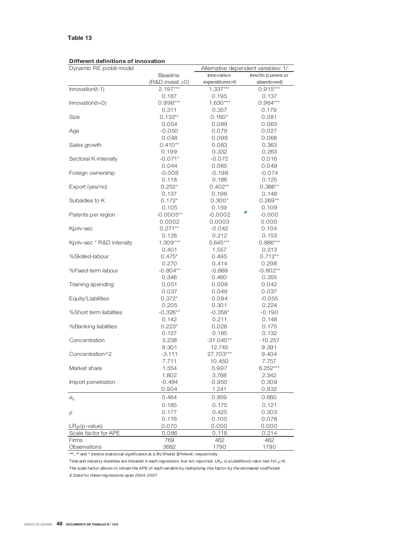### **Different definitions of innovation**

| Dynamic RE probit model   |                      | Altemative dependent variables: 1/ |                     |  |
|---------------------------|----------------------|------------------------------------|---------------------|--|
|                           | <b>Baseline</b>      | Innovation                         | Innofin (current or |  |
|                           | $(R&D$ invest. $>0)$ | expenditures>0                     | abandoned)          |  |
| Innovation(t-1)           | $2.197***$           | $1.337***$                         | $0.915***$          |  |
|                           | 0.187                | 0.195                              | 0.137               |  |
| $Inovation(t=0)$          | $0.996***$           | $1.630***$                         | $0.964***$          |  |
|                           | 0.311                | 0.357                              | 0.179               |  |
| Size                      | $0.133**$            | $0.160*$                           | 0.081               |  |
|                           | 0.054                | 0.089                              | 0.063               |  |
| Age                       | $-0.050$             | 0.079                              | 0.027               |  |
|                           | 0.048                | 0.098                              | 0.068               |  |
| Sales growth              | $0.410**$            | 0.083                              | 0.363               |  |
|                           | 0.199                | 0.332                              | 0.263               |  |
| Sectoral K-intensity      | $-0.071*$            | $-0.072$                           | 0.016               |  |
|                           | 0.044                | 0.065                              | 0.049               |  |
| Foreign ownership         | $-0.008$             | $-0.198$                           | $-0.074$            |  |
|                           | 0.118                | 0.186                              | 0.125               |  |
| Export (yes/no)           | $0.252*$             | $0.402**$                          | $0.366**$           |  |
|                           | 0.137                | 0.196                              | 0.148               |  |
| Subsidies to K            | $0.172*$             | $0.300*$                           | $0.269**$           |  |
|                           | 0.105                | 0.159                              | 0.109               |  |
| Patents per region        | $-0.0005**$          | $-0.0002$                          | -0.000              |  |
|                           | 0.0002               | 0.0003                             | 0.000               |  |
| Kpriv-sec                 | $0.271***$           | $-0.042$                           | 0.104               |  |
|                           | 0.128                | 0.212                              | 0.153               |  |
|                           | $1.309***$           | $5.645***$                         | $0.886***$          |  |
| Kpriv-sec * R&D intensity |                      |                                    | 0.313               |  |
|                           | 0.401                | 1.557                              | $0.712**$           |  |
| %Skilled-labour           | $0.475*$             | 0.495                              |                     |  |
|                           | 0.270                | 0.414                              | 0.298               |  |
| %Fixed-term labour        | $-0.804**$           | -0.669                             | $-0.802**$          |  |
|                           | 0.346                | 0.460                              | 0.355               |  |
| Training spending         | 0.051                | 0.008                              | 0.042               |  |
|                           | 0.037                | 0.049                              | 0.037               |  |
| Equity/Liabilities        | $0.372*$             | 0.094                              | $-0.055$            |  |
|                           | 0.205                | 0.301                              | 0.224               |  |
| %Short term liabilities   | $-0.326**$           | $-0.358*$                          | $-0.190$            |  |
|                           | 0.142                | 0.211                              | 0.148               |  |
| %Banking liabilities      | $0.223*$             | 0.028                              | 0.175               |  |
|                           | 0.127                | 0.185                              | 0.132               |  |
| Concentration             | 5.238                | $-31.040**$                        | $-10.257$           |  |
|                           | 9.301                | 12.745                             | 9.391               |  |
| Concentration^2           | $-3.111$             | 27.703***                          | 9.404               |  |
|                           | 7.711                | 10.450                             | 7.757               |  |
| Market share              | 1.554                | 5.997                              | $6.252***$          |  |
|                           | 1.802                | 3.768                              | 2.342               |  |
| Import penetration        | $-0.484$             | 0.950                              | 0.309               |  |
|                           | 0.904                | 1.241                              | 0.932               |  |
| $\sigma_{\eta}$           | 0.464                | 0.859                              | 0.660               |  |
|                           | 0.185                | 0.175                              | 0.121               |  |
| $\rho$                    | 0.177                | 0.425                              | 0.303               |  |
|                           | 0.116                | 0.100                              | 0.078               |  |
| $LRp(p-value)$            | 0.070                | 0.000                              | 0.000               |  |
| Scale factor for APE      | 0.086                | 0.118                              | 0.214               |  |
| Firms                     | 769                  | 462                                | 462                 |  |
| Observations              | 3682                 | 1790                               | 1790                |  |

\*\*\*, \*\* and \* denote statistical significance at a 1% 5% and 10% level, respectively.

Time and industry dummies are included in each regression, but not reported. LR<sub>p</sub> is a Likelihood-ratio test for  $\rho$ =0.

The scale factor allows to obtain the APE of each variable by multiplying this factor by the estimated coefficient. 1/ Data for these regressions span 2004-2007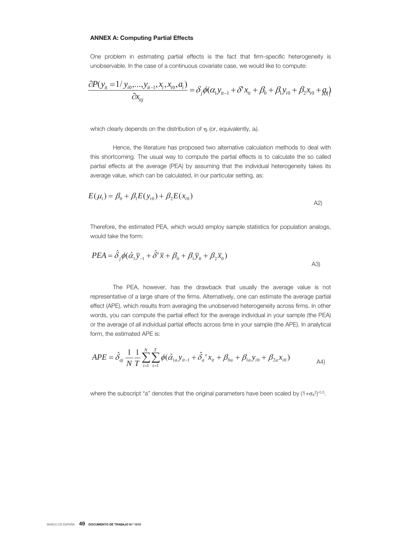### **ANNEX A: Computing Partial Effects**

One problem in estimating partial effects is the fact that firm-specific heterogeneity is unobservable. In the case of a continuous covariate case, we would like to compute:

$$
\frac{\partial P(y_{it} = 1/y_{i0},..., y_{it-1}, x_i, x_{i0}, a_i)}{\partial x_{itj}} = \delta_j \phi(\alpha_1 y_{it-1} + \delta^* x_{it} + \beta_0 + \beta_1 y_{i0} + \beta_2 x_{i0} + \beta_4)
$$

which clearly depends on the distribution of  $\eta_i$  (or, equivalently, a<sub>i</sub>).

Hence, the literature has proposed two alternative calculation methods to deal with this shortcoming. The usual way to compute the partial effects is to calculate the so called partial effects at the average (PEA) by assuming that the individual heterogeneity takes its average value, which can be calculated, in our particular setting, as:

$$
E(\mu_i) = \beta_0 + \beta_1 E(y_{i0}) + \beta_2 E(x_{i0})
$$

Therefore, the estimated PEA, which would employ sample statistics for population analogs, would take the form:

$$
PEA = \hat{\delta}_j \phi (\hat{\alpha}_1 \overline{y}_{-1} + \hat{\delta}^{\dagger} \overline{x} + \beta_0 + \beta_1 \overline{y}_0 + \beta_2 \overline{x}_0)
$$

The PEA, however, has the drawback that usually the average value is not representative of a large share of the firms. Alternatively, one can estimate the average partial effect (APE), which results from averaging the unobserved heterogeneity across firms. In other words, you can compute the partial effect for the average individual in your sample (the PEA) or the average of all individual partial effects across time in your sample (the APE). In analytical form, the estimated APE is:

$$
APE = \hat{\delta}_{aj} \frac{1}{N} \frac{1}{T} \sum_{i=1}^{N} \sum_{t=1}^{T} \phi(\hat{\alpha}_{1a} y_{it-1} + \hat{\delta}_{a}^{\ \ t} x_{it} + \beta_{0a}^{\ \ t} + \beta_{1a}^{\ \ t} y_{i0} + \beta_{2a}^{\ \ t} x_{i0})
$$

where the subscript "a" denotes that the original parameters have been scaled by  $(1+\sigma_a^2)^{-0.5}$ .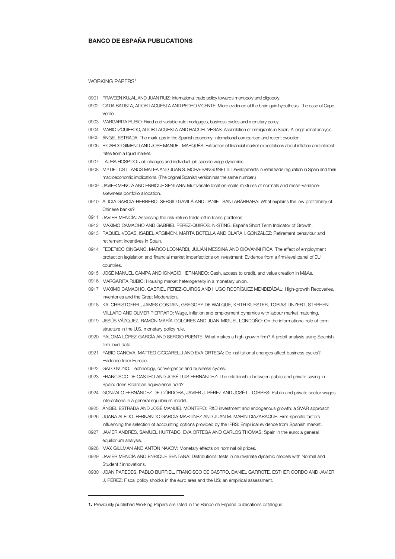### **BANCO DE ESPAÑA PUBLICATIONS**

#### WORKING PAPERS<sup>1</sup>

- 0901 PRAVEEN KUJAL AND JUAN RUIZ: International trade policy towards monopoly and oligopoly.
- 0902 CATIA BATISTA, AITOR LACUESTA AND PEDRO VICENTE: Micro evidence of the brain gain hypothesis: The case of Cape Verde.
- 0903 MARGARITA RUBIO: Fixed and variable-rate mortgages, business cycles and monetary policy.
- 0904 MARIO IZQUIERDO, AITOR LACUESTA AND RAQUEL VEGAS: Assimilation of immigrants in Spain: A longitudinal analysis.
- 0905 ÁNGEL ESTRADA: The mark-ups in the Spanish economy: international comparison and recent evolution.
- 0906 RICARDO GIMENO AND JOSÉ MANUEL MARQUÉS: Extraction of financial market expectations about inflation and interest rates from a liquid market.
- 0907 LAURA HOSPIDO: Job changes and individual-job specific wage dynamics.
- 0908 M.ª DE LOS LLANOS MATEA AND JUAN S. MORA-SANGUINETTI: Developments in retail trade regulation in Spain and their macroeconomic implications. (The original Spanish version has the same number.)
- 0909 JAVIER MENCÍA AND ENRIQUE SENTANA: Multivariate location-scale mixtures of normals and mean-varianceskewness portfolio allocation.
- 0910 ALICIA GARCÍA-HERRERO, SERGIO GAVILÁ AND DANIEL SANTABÁRBARA: What explains the low profitability of Chinese banks?
- 0911 JAVIER MENCÍA: Assessing the risk-return trade-off in loans portfolios.
- 0912 MAXIMO CAMACHO AND GABRIEL PEREZ-QUIROS: Ñ-STING: España Short Term Indicator of Growth.
- 0913 RAQUEL VEGAS, ISABEL ARGIMÓN, MARTA BOTELLA AND CLARA I. GONZÁLEZ: Retirement behaviour and retirement incentives in Spain.
- 0914 FEDERICO CINGANO, MARCO LEONARDI, JULIÁN MESSINA AND GIOVANNI PICA: The effect of employment protection legislation and financial market imperfections on investment: Evidence from a firm-level panel of EU countries.
- 0915 JOSÉ MANUEL CAMPA AND IGNACIO HERNANDO: Cash, access to credit, and value creation in M&As.
- 0916 MARGARITA RUBIO: Housing market heterogeneity in a monetary union.
- 0917 MAXIMO CAMACHO, GABRIEL PEREZ-QUIROS AND HUGO RODRÍGUEZ MENDIZÁBAL: High-growth Recoveries, Inventories and the Great Moderation.
- 0918 KAI CHRISTOFFEL, JAMES COSTAIN, GREGORY DE WALQUE, KEITH KUESTER, TOBIAS LINZERT, STEPHEN MILLARD AND OLIVIER PIERRARD: Wage, inflation and employment dynamics with labour market matching.
- 0919 JESÚS VÁZQUEZ, RAMÓN MARÍA-DOLORES AND JUAN-MIGUEL LONDOÑO: On the informational role of term structure in the U.S. monetary policy rule.
- 0920 PALOMA LÓPEZ-GARCÍA AND SERGIO PUENTE: What makes a high-growth firm? A probit analysis using Spanish firm-level data.
- 0921 FABIO CANOVA, MATTEO CICCARELLI AND EVA ORTEGA: Do institutional changes affect business cycles? Evidence from Europe.
- 0922 GALO NUÑO: Technology, convergence and business cycles.
- 0923 FRANCISCO DE CASTRO AND JOSÉ LUIS FERNÁNDEZ: The relationship between public and private saving in Spain: does Ricardian equivalence hold?
- 0924 GONZALO FERNÁNDEZ-DE-CÓRDOBA, JAVIER J. PÉREZ AND JOSÉ L. TORRES: Public and private sector wages interactions in a general equilibrium model.
- 0925 ÁNGEL ESTRADA AND JOSÉ MANUEL MONTERO: R&D investment and endogenous growth: a SVAR approach.
- 0926 JUANA ALEDO, FERNANDO GARCÍA-MARTÍNEZ AND JUAN M. MARÍN DIAZARAQUE: Firm-specific factors influencing the selection of accounting options provided by the IFRS: Empirical evidence from Spanish market.
- 0927 JAVIER ANDRÉS, SAMUEL HURTADO, EVA ORTEGA AND CARLOS THOMAS: Spain in the euro: a general equilibrium analysis.
- 0928 MAX GILLMAN AND ANTON NAKOV: Monetary effects on nominal oil prices.

j

- 0929 JAVIER MENCÍA AND ENRIQUE SENTANA: Distributional tests in multivariate dynamic models with Normal and Student *t* innovations.
- 0930 JOAN PAREDES, PABLO BURRIEL, FRANCISCO DE CASTRO, DANIEL GARROTE, ESTHER GORDO AND JAVIER J. PÉREZ: Fiscal policy shocks in the euro area and the US: an empirical assessment.

**<sup>1.</sup>** Previously published Working Papers are listed in the Banco de España publications catalogue.